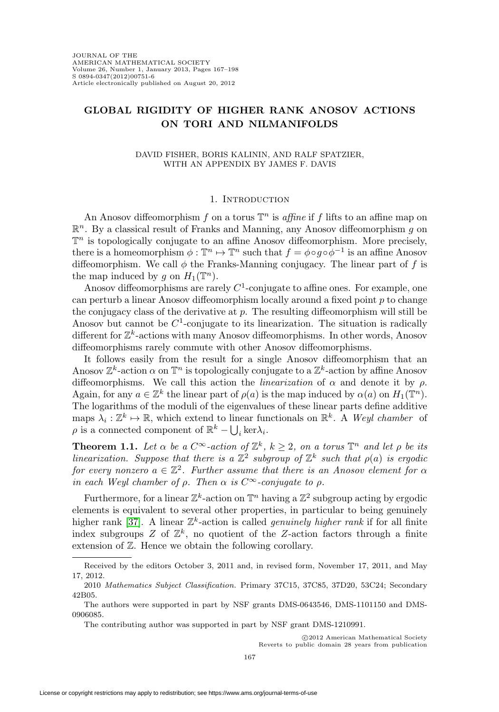# **GLOBAL RIGIDITY OF HIGHER RANK ANOSOV ACTIONS ON TORI AND NILMANIFOLDS**

### DAVID FISHER, BORIS KALININ, AND RALF SPATZIER, WITH AN APPENDIX BY JAMES F. DAVIS

## 1. INTRODUCTION

An Anosov diffeomorphism f on a torus  $\mathbb{T}^n$  is affine if f lifts to an affine map on  $\mathbb{R}^n$ . By a classical result of Franks and Manning, any Anosov diffeomorphism g on  $\mathbb{T}^n$  is topologically conjugate to an affine Anosov diffeomorphism. More precisely, there is a homeomorphism  $\phi : \mathbb{T}^n \to \mathbb{T}^n$  such that  $f = \phi \circ g \circ \phi^{-1}$  is an affine Anosov diffeomorphism. We call  $\phi$  the Franks-Manning conjugacy. The linear part of f is the map induced by q on  $H_1(\mathbb{T}^n)$ .

Anosov diffeomorphisms are rarely  $C<sup>1</sup>$ -conjugate to affine ones. For example, one can perturb a linear Anosov diffeomorphism locally around a fixed point  $p$  to change the conjugacy class of the derivative at  $p$ . The resulting diffeomorphism will still be Anosov but cannot be  $C^1$ -conjugate to its linearization. The situation is radically different for  $\mathbb{Z}^k$ -actions with many Anosov diffeomorphisms. In other words, Anosov diffeomorphisms rarely commute with other Anosov diffeomorphisms.

It follows easily from the result for a single Anosov diffeomorphism that an Anosov  $\mathbb{Z}^k$ -action  $\alpha$  on  $\mathbb{T}^n$  is topologically conjugate to a  $\mathbb{Z}^k$ -action by affine Anosov diffeomorphisms. We call this action the *linearization* of  $\alpha$  and denote it by  $\rho$ . Again, for any  $a \in \mathbb{Z}^k$  the linear part of  $\rho(a)$  is the map induced by  $\alpha(a)$  on  $H_1(\mathbb{T}^n)$ . The logarithms of the moduli of the eigenvalues of these linear parts define additive maps  $\lambda_i : \mathbb{Z}^k \to \mathbb{R}$ , which extend to linear functionals on  $\mathbb{R}^k$ . A Weyl chamber of  $\rho$  is a connected component of  $\mathbb{R}^k - \bigcup_i \ker \lambda_i$ .

<span id="page-0-0"></span>**Theorem 1.1.** Let  $\alpha$  be a  $C^{\infty}$ -action of  $\mathbb{Z}^{k}$ ,  $k \geq 2$ , on a torus  $\mathbb{T}^{n}$  and let  $\rho$  be its linearization. Suppose that there is a  $\mathbb{Z}^2$  subgroup of  $\mathbb{Z}^k$  such that  $\rho(a)$  is ergodic for every nonzero  $a \in \mathbb{Z}^2$ . Further assume that there is an Anosov element for  $\alpha$ in each Weyl chamber of  $\rho$ . Then  $\alpha$  is  $C^{\infty}$ -conjugate to  $\rho$ .

Furthermore, for a linear  $\mathbb{Z}^k$ -action on  $\mathbb{T}^n$  having a  $\mathbb{Z}^2$  subgroup acting by ergodic elements is equivalent to several other properties, in particular to being genuinely higher rank [\[37\]](#page-30-0). A linear  $\mathbb{Z}^k$ -action is called *genuinely higher rank* if for all finite index subgroups Z of  $\mathbb{Z}^k$ , no quotient of the Z-action factors through a finite extension of Z. Hence we obtain the following corollary.

Received by the editors October 3, 2011 and, in revised form, November 17, 2011, and May 17, 2012.

<sup>2010</sup> Mathematics Subject Classification. Primary 37C15, 37C85, 37D20, 53C24; Secondary 42B05.

The authors were supported in part by NSF grants DMS-0643546, DMS-1101150 and DMS-0906085.

The contributing author was supported in part by NSF grant DMS-1210991.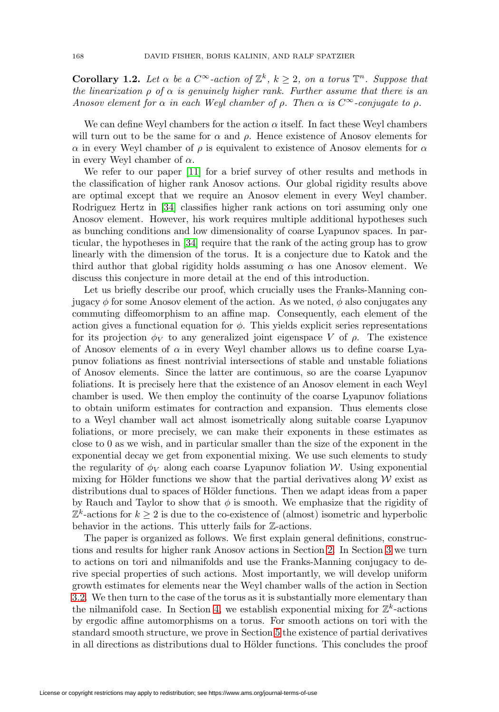**Corollary 1.2.** Let  $\alpha$  be a  $C^{\infty}$ -action of  $\mathbb{Z}^{k}$ ,  $k \geq 2$ , on a torus  $\mathbb{T}^{n}$ . Suppose that the linearization  $\rho$  of  $\alpha$  is genuinely higher rank. Further assume that there is an Anosov element for  $\alpha$  in each Weyl chamber of  $\rho$ . Then  $\alpha$  is  $C^{\infty}$ -conjugate to  $\rho$ .

We can define Weyl chambers for the action  $\alpha$  itself. In fact these Weyl chambers will turn out to be the same for  $\alpha$  and  $\rho$ . Hence existence of Anosov elements for  $\alpha$  in every Weyl chamber of  $\rho$  is equivalent to existence of Anosov elements for  $\alpha$ in every Weyl chamber of  $\alpha$ .

We refer to our paper [\[11\]](#page-29-0) for a brief survey of other results and methods in the classification of higher rank Anosov actions. Our global rigidity results above are optimal except that we require an Anosov element in every Weyl chamber. Rodriguez Hertz in [\[34\]](#page-30-1) classifies higher rank actions on tori assuming only one Anosov element. However, his work requires multiple additional hypotheses such as bunching conditions and low dimensionality of coarse Lyapunov spaces. In particular, the hypotheses in [\[34\]](#page-30-1) require that the rank of the acting group has to grow linearly with the dimension of the torus. It is a conjecture due to Katok and the third author that global rigidity holds assuming  $\alpha$  has one Anosov element. We discuss this conjecture in more detail at the end of this introduction.

Let us briefly describe our proof, which crucially uses the Franks-Manning conjugacy  $\phi$  for some Anosov element of the action. As we noted,  $\phi$  also conjugates any commuting diffeomorphism to an affine map. Consequently, each element of the action gives a functional equation for  $\phi$ . This yields explicit series representations for its projection  $\phi_V$  to any generalized joint eigenspace V of  $\rho$ . The existence of Anosov elements of  $\alpha$  in every Weyl chamber allows us to define coarse Lyapunov foliations as finest nontrivial intersections of stable and unstable foliations of Anosov elements. Since the latter are continuous, so are the coarse Lyapunov foliations. It is precisely here that the existence of an Anosov element in each Weyl chamber is used. We then employ the continuity of the coarse Lyapunov foliations to obtain uniform estimates for contraction and expansion. Thus elements close to a Weyl chamber wall act almost isometrically along suitable coarse Lyapunov foliations, or more precisely, we can make their exponents in these estimates as close to 0 as we wish, and in particular smaller than the size of the exponent in the exponential decay we get from exponential mixing. We use such elements to study the regularity of  $\phi_V$  along each coarse Lyapunov foliation W. Using exponential mixing for Hölder functions we show that the partial derivatives along  $W$  exist as distributions dual to spaces of Hölder functions. Then we adapt ideas from a paper by Rauch and Taylor to show that  $\phi$  is smooth. We emphasize that the rigidity of  $\mathbb{Z}^k$ -actions for  $k \geq 2$  is due to the co-existence of (almost) isometric and hyperbolic behavior in the actions. This utterly fails for Z-actions.

The paper is organized as follows. We first explain general definitions, constructions and results for higher rank Anosov actions in Section [2.](#page-3-0) In Section [3](#page-6-0) we turn to actions on tori and nilmanifolds and use the Franks-Manning conjugacy to derive special properties of such actions. Most importantly, we will develop uniform growth estimates for elements near the Weyl chamber walls of the action in Section [3.2.](#page-7-0) We then turn to the case of the torus as it is substantially more elementary than the nilmanifold case. In Section [4,](#page-9-0) we establish exponential mixing for  $\mathbb{Z}^k$ -actions by ergodic affine automorphisms on a torus. For smooth actions on tori with the standard smooth structure, we prove in Section [5](#page-13-0) the existence of partial derivatives in all directions as distributions dual to Hölder functions. This concludes the proof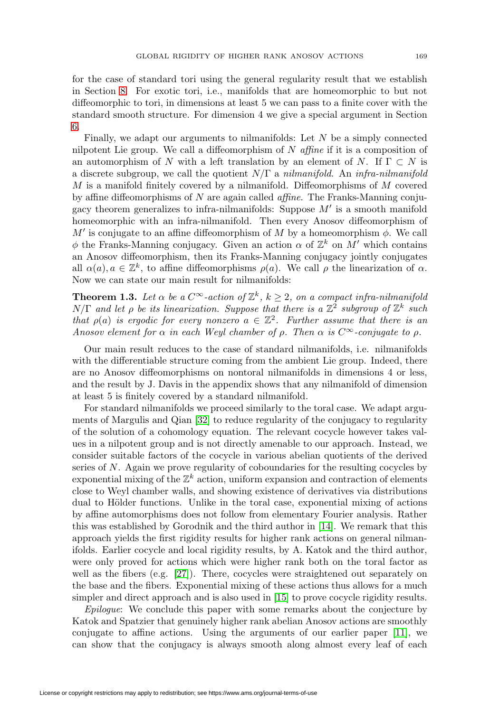for the case of standard tori using the general regularity result that we establish in Section [8.](#page-20-0) For exotic tori, i.e., manifolds that are homeomorphic to but not diffeomorphic to tori, in dimensions at least 5 we can pass to a finite cover with the standard smooth structure. For dimension 4 we give a special argument in Section [6.](#page-17-0)

Finally, we adapt our arguments to nilmanifolds: Let  $N$  be a simply connected nilpotent Lie group. We call a diffeomorphism of  $N$  affine if it is a composition of an automorphism of N with a left translation by an element of N. If  $\Gamma \subset N$  is a discrete subgroup, we call the quotient  $N/\Gamma$  a nilmanifold. An infra-nilmanifold  $M$  is a manifold finitely covered by a nilmanifold. Diffeomorphisms of  $M$  covered by affine diffeomorphisms of  $N$  are again called *affine*. The Franks-Manning conjugacy theorem generalizes to infra-nilmanifolds: Suppose  $M'$  is a smooth manifold homeomorphic with an infra-nilmanifold. Then every Anosov diffeomorphism of  $M'$  is conjugate to an affine diffeomorphism of M by a homeomorphism  $\phi$ . We call  $\phi$  the Franks-Manning conjugacy. Given an action  $\alpha$  of  $\mathbb{Z}^k$  on M' which contains an Anosov diffeomorphism, then its Franks-Manning conjugacy jointly conjugates all  $\alpha(a), a \in \mathbb{Z}^k$ , to affine diffeomorphisms  $\rho(a)$ . We call  $\rho$  the linearization of  $\alpha$ . Now we can state our main result for nilmanifolds:

**Theorem 1.3.** Let  $\alpha$  be a  $C^{\infty}$ -action of  $\mathbb{Z}^{k}$ ,  $k \geq 2$ , on a compact infra-nilmanifold  $N/\Gamma$  and let  $\rho$  be its linearization. Suppose that there is a  $\mathbb{Z}^2$  subgroup of  $\mathbb{Z}^k$  such that  $\rho(a)$  is ergodic for every nonzero  $a \in \mathbb{Z}^2$ . Further assume that there is an Anosov element for  $\alpha$  in each Weyl chamber of  $\rho$ . Then  $\alpha$  is  $C^{\infty}$ -conjugate to  $\rho$ .

Our main result reduces to the case of standard nilmanifolds, i.e. nilmanifolds with the differentiable structure coming from the ambient Lie group. Indeed, there are no Anosov diffeomorphisms on nontoral nilmanifolds in dimensions 4 or less, and the result by J. Davis in the appendix shows that any nilmanifold of dimension at least 5 is finitely covered by a standard nilmanifold.

For standard nilmanifolds we proceed similarly to the toral case. We adapt arguments of Margulis and Qian [\[32\]](#page-30-2) to reduce regularity of the conjugacy to regularity of the solution of a cohomology equation. The relevant cocycle however takes values in a nilpotent group and is not directly amenable to our approach. Instead, we consider suitable factors of the cocycle in various abelian quotients of the derived series of N. Again we prove regularity of coboundaries for the resulting cocycles by exponential mixing of the  $\mathbb{Z}^k$  action, uniform expansion and contraction of elements close to Weyl chamber walls, and showing existence of derivatives via distributions dual to Hölder functions. Unlike in the toral case, exponential mixing of actions by affine automorphisms does not follow from elementary Fourier analysis. Rather this was established by Gorodnik and the third author in [\[14\]](#page-29-1). We remark that this approach yields the first rigidity results for higher rank actions on general nilmanifolds. Earlier cocycle and local rigidity results, by A. Katok and the third author, were only proved for actions which were higher rank both on the toral factor as well as the fibers (e.g. [\[27\]](#page-30-3)). There, cocycles were straightened out separately on the base and the fibers. Exponential mixing of these actions thus allows for a much simpler and direct approach and is also used in [\[15\]](#page-30-4) to prove cocycle rigidity results.

Epilogue: We conclude this paper with some remarks about the conjecture by Katok and Spatzier that genuinely higher rank abelian Anosov actions are smoothly conjugate to affine actions. Using the arguments of our earlier paper [\[11\]](#page-29-0), we can show that the conjugacy is always smooth along almost every leaf of each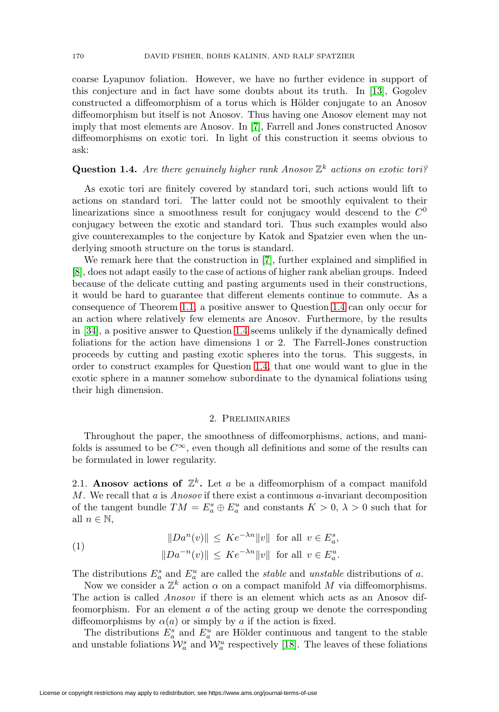coarse Lyapunov foliation. However, we have no further evidence in support of this conjecture and in fact have some doubts about its truth. In [\[13\]](#page-29-2), Gogolev constructed a diffeomorphism of a torus which is Hölder conjugate to an Anosov diffeomorphism but itself is not Anosov. Thus having one Anosov element may not imply that most elements are Anosov. In [\[7\]](#page-29-3), Farrell and Jones constructed Anosov diffeomorphisms on exotic tori. In light of this construction it seems obvious to ask:

# <span id="page-3-1"></span>**Question 1.4.** Are there genuinely higher rank Anosov  $\mathbb{Z}^k$  actions on exotic tori?

As exotic tori are finitely covered by standard tori, such actions would lift to actions on standard tori. The latter could not be smoothly equivalent to their linearizations since a smoothness result for conjugacy would descend to the  $C^0$ conjugacy between the exotic and standard tori. Thus such examples would also give counterexamples to the conjecture by Katok and Spatzier even when the underlying smooth structure on the torus is standard.

We remark here that the construction in [\[7\]](#page-29-3), further explained and simplified in [\[8\]](#page-29-4), does not adapt easily to the case of actions of higher rank abelian groups. Indeed because of the delicate cutting and pasting arguments used in their constructions, it would be hard to guarantee that different elements continue to commute. As a consequence of Theorem [1.1,](#page-0-0) a positive answer to Question [1.4](#page-3-1) can only occur for an action where relatively few elements are Anosov. Furthermore, by the results in [\[34\]](#page-30-1), a positive answer to Question [1.4](#page-3-1) seems unlikely if the dynamically defined foliations for the action have dimensions 1 or 2. The Farrell-Jones construction proceeds by cutting and pasting exotic spheres into the torus. This suggests, in order to construct examples for Question [1.4,](#page-3-1) that one would want to glue in the exotic sphere in a manner somehow subordinate to the dynamical foliations using their high dimension.

### 2. Preliminaries

<span id="page-3-0"></span>Throughout the paper, the smoothness of diffeomorphisms, actions, and manifolds is assumed to be  $C^{\infty}$ , even though all definitions and some of the results can be formulated in lower regularity.

2.1. **Anosov actions of**  $\mathbb{Z}^k$ . Let a be a diffeomorphism of a compact manifold M. We recall that a is *Anosov* if there exist a continuous  $a$ -invariant decomposition of the tangent bundle  $TM = E_a^s \oplus E_a^u$  and constants  $K > 0$ ,  $\lambda > 0$  such that for all  $n \in \mathbb{N}$ ,

<span id="page-3-2"></span>(1) 
$$
||Da^{n}(v)|| \leq Ke^{-\lambda n} ||v|| \text{ for all } v \in E_{a}^{s},
$$

$$
||Da^{-n}(v)|| \leq Ke^{-\lambda n} ||v|| \text{ for all } v \in E_{a}^{u}.
$$

The distributions  $E_a^s$  and  $E_a^u$  are called the *stable* and *unstable* distributions of a.

Now we consider a  $\mathbb{Z}^k$  action  $\alpha$  on a compact manifold  $M$  via diffeomorphisms. The action is called Anosov if there is an element which acts as an Anosov diffeomorphism. For an element a of the acting group we denote the corresponding diffeomorphisms by  $\alpha(a)$  or simply by a if the action is fixed.

The distributions  $E_a^s$  and  $E_a^u$  are Hölder continuous and tangent to the stable and unstable foliations  $\mathcal{W}_a^s$  and  $\mathcal{W}_a^u$  respectively [\[18\]](#page-30-5). The leaves of these foliations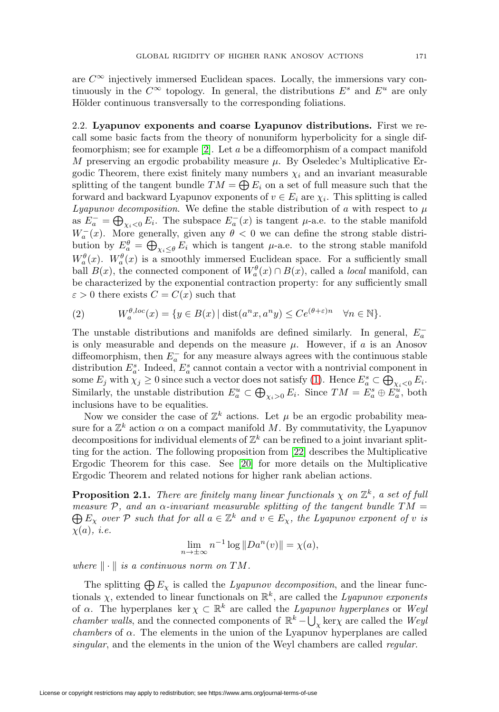are  $C^{\infty}$  injectively immersed Euclidean spaces. Locally, the immersions vary continuously in the  $C^{\infty}$  topology. In general, the distributions  $E^s$  and  $E^u$  are only Hölder continuous transversally to the corresponding foliations.

2.2. **Lyapunov exponents and coarse Lyapunov distributions.** First we recall some basic facts from the theory of nonuniform hyperbolicity for a single diffeomorphism; see for example [\[2\]](#page-29-5). Let a be a diffeomorphism of a compact manifold M preserving an ergodic probability measure  $\mu$ . By Oseledec's Multiplicative Ergodic Theorem, there exist finitely many numbers  $\chi_i$  and an invariant measurable splitting of the tangent bundle  $TM = \bigoplus E_i$  on a set of full measure such that the forward and backward Lyapunov exponents of  $v \in E_i$  are  $\chi_i$ . This splitting is called Lyapunov decomposition. We define the stable distribution of a with respect to  $\mu$ as  $E_a^- = \bigoplus_{\chi_i < 0} E_i$ . The subspace  $E_a^-(x)$  is tangent  $\mu$ -a.e. to the stable manifold  $W_a^-(x)$ . More generally, given any  $\theta < 0$  we can define the strong stable distribution by  $E_a^{\theta} = \bigoplus_{\chi_i \leq \theta} E_i$  which is tangent  $\mu$ -a.e. to the strong stable manifold  $W_a^{\theta}(x)$ .  $W_a^{\theta}(x)$  is a smoothly immersed Euclidean space. For a sufficiently small ball  $B(x)$ , the connected component of  $W_a^{\theta}(x) \cap B(x)$ , called a *local* manifold, can be characterized by the exponential contraction property: for any sufficiently small  $\varepsilon > 0$  there exists  $C = C(x)$  such that

<span id="page-4-0"></span>(2) 
$$
W_a^{\theta,loc}(x) = \{y \in B(x) | \text{dist}(a^n x, a^n y) \le Ce^{(\theta + \varepsilon)n} \quad \forall n \in \mathbb{N}\}.
$$

The unstable distributions and manifolds are defined similarly. In general,  $E_a^$ is only measurable and depends on the measure  $\mu$ . However, if a is an Anosov diffeomorphism, then  $E_a^-$  for any measure always agrees with the continuous stable distribution  $E_a^s$ . Indeed,  $E_a^s$  cannot contain a vector with a nontrivial component in some  $E_j$  with  $\chi_j \geq 0$  since such a vector does not satisfy [\(1\)](#page-3-2). Hence  $E_a^s \subset \bigoplus_{\chi_i < 0} E_i$ . Similarly, the unstable distribution  $E_a^u \subset \bigoplus_{\chi_i > 0} E_i$ . Since  $TM = E_a^s \oplus E_a^u$ , both inclusions have to be equalities.

Now we consider the case of  $\mathbb{Z}^k$  actions. Let  $\mu$  be an ergodic probability measure for a  $\mathbb{Z}^k$  action  $\alpha$  on a compact manifold M. By commutativity, the Lyapunov decompositions for individual elements of  $\mathbb{Z}^k$  can be refined to a joint invariant splitting for the action. The following proposition from [\[22\]](#page-30-6) describes the Multiplicative Ergodic Theorem for this case. See [\[20\]](#page-30-7) for more details on the Multiplicative Ergodic Theorem and related notions for higher rank abelian actions.

**Proposition 2.1.** There are finitely many linear functionals  $\chi$  on  $\mathbb{Z}^k$ , a set of full measure  $P$ , and an  $\alpha$ -invariant measurable splitting of the tangent bundle TM =  $\bigoplus E_\chi$  over P such that for all  $a \in \mathbb{Z}^k$  and  $v \in E_\chi$ , the Lyapunov exponent of v is  $\chi(a), i.e.$ 

$$
\lim_{n \to \pm \infty} n^{-1} \log ||Da^n(v)|| = \chi(a),
$$

where  $\|\cdot\|$  is a continuous norm on TM.

The splitting  $\bigoplus E_{\chi}$  is called the *Lyapunov decomposition*, and the linear functionals  $\chi$ , extended to linear functionals on  $\mathbb{R}^k$ , are called the *Lyapunov exponents* of  $\alpha$ . The hyperplanes ker  $\chi \subset \mathbb{R}^k$  are called the *Lyapunov hyperplanes* or Weyl *chamber walls*, and the connected components of  $\mathbb{R}^k - \bigcup_{\chi} \text{ker}\chi$  are called the Weyl *chambers* of  $\alpha$ . The elements in the union of the Lyapunov hyperplanes are called singular, and the elements in the union of the Weyl chambers are called *regular*.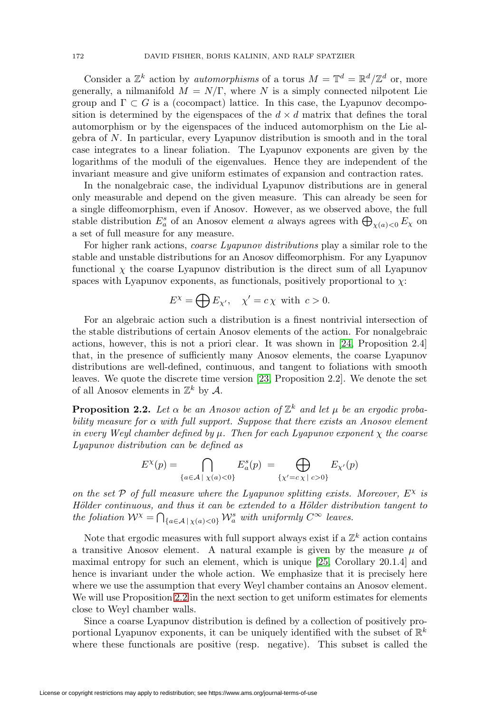Consider a  $\mathbb{Z}^k$  action by *automorphisms* of a torus  $M = \mathbb{T}^d = \mathbb{R}^d / \mathbb{Z}^d$  or, more generally, a nilmanifold  $M = N/\Gamma$ , where N is a simply connected nilpotent Lie group and  $\Gamma \subset G$  is a (cocompact) lattice. In this case, the Lyapunov decomposition is determined by the eigenspaces of the  $d \times d$  matrix that defines the toral automorphism or by the eigenspaces of the induced automorphism on the Lie algebra of N. In particular, every Lyapunov distribution is smooth and in the toral case integrates to a linear foliation. The Lyapunov exponents are given by the logarithms of the moduli of the eigenvalues. Hence they are independent of the invariant measure and give uniform estimates of expansion and contraction rates.

In the nonalgebraic case, the individual Lyapunov distributions are in general only measurable and depend on the given measure. This can already be seen for a single diffeomorphism, even if Anosov. However, as we observed above, the full stable distribution  $E^s_a$  of an Anosov element a always agrees with  $\bigoplus_{\chi(a) < 0} E_\chi$  on a set of full measure for any measure.

For higher rank actions, *coarse Lyapunov distributions* play a similar role to the stable and unstable distributions for an Anosov diffeomorphism. For any Lyapunov functional  $\chi$  the coarse Lyapunov distribution is the direct sum of all Lyapunov spaces with Lyapunov exponents, as functionals, positively proportional to  $\chi$ :

$$
E^{\chi} = \bigoplus E_{\chi'}, \quad \chi' = c \,\chi \text{ with } c > 0.
$$

For an algebraic action such a distribution is a finest nontrivial intersection of the stable distributions of certain Anosov elements of the action. For nonalgebraic actions, however, this is not a priori clear. It was shown in [\[24,](#page-30-8) Proposition 2.4] that, in the presence of sufficiently many Anosov elements, the coarse Lyapunov distributions are well-defined, continuous, and tangent to foliations with smooth leaves. We quote the discrete time version [\[23,](#page-30-9) Proposition 2.2]. We denote the set of all Anosov elements in  $\mathbb{Z}^k$  by A.

<span id="page-5-0"></span>**Proposition 2.2.** Let  $\alpha$  be an Anosov action of  $\mathbb{Z}^k$  and let  $\mu$  be an ergodic probability measure for  $\alpha$  with full support. Suppose that there exists an Anosov element in every Weyl chamber defined by  $\mu$ . Then for each Lyapunov exponent  $\chi$  the coarse Lyapunov distribution can be defined as

$$
E^{\chi}(p)=\bigcap_{\{a\in\mathcal{A}\;|\;\chi(a)<0\}}E^s_a(p)\;=\bigoplus_{\{\chi'=c\;\chi\;|\;c>0\}}E_{\chi'}(p)
$$

on the set  $P$  of full measure where the Lyapunov splitting exists. Moreover,  $E^{\chi}$  is Hölder continuous, and thus it can be extended to a Hölder distribution tangent to the foliation  $W^{\chi} = \bigcap_{\{a \in \mathcal{A} \mid \chi(a) < 0\}} W_a^s$  with uniformly  $C^{\infty}$  leaves.

Note that ergodic measures with full support always exist if a  $\mathbb{Z}^k$  action contains a transitive Anosov element. A natural example is given by the measure  $\mu$  of maximal entropy for such an element, which is unique [\[25,](#page-30-10) Corollary 20.1.4] and hence is invariant under the whole action. We emphasize that it is precisely here where we use the assumption that every Weyl chamber contains an Anosov element. We will use Proposition [2.2](#page-5-0) in the next section to get uniform estimates for elements close to Weyl chamber walls.

Since a coarse Lyapunov distribution is defined by a collection of positively proportional Lyapunov exponents, it can be uniquely identified with the subset of  $\mathbb{R}^k$ where these functionals are positive (resp. negative). This subset is called the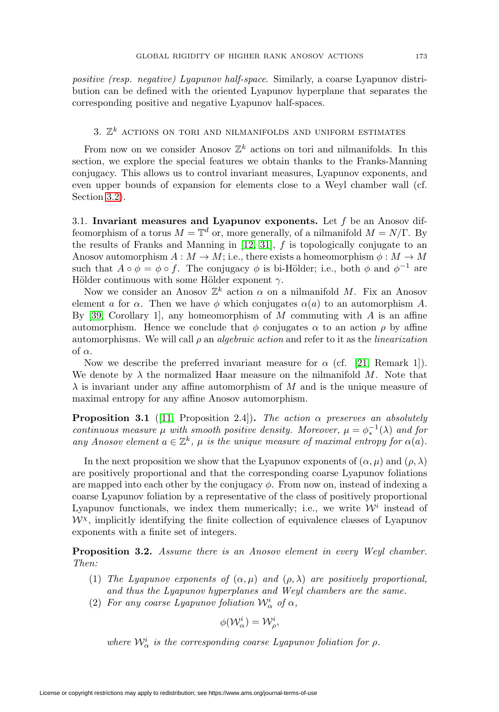positive (resp. negative) Lyapunov half-space. Similarly, a coarse Lyapunov distribution can be defined with the oriented Lyapunov hyperplane that separates the corresponding positive and negative Lyapunov half-spaces.

# <span id="page-6-0"></span>3.  $\mathbb{Z}^k$  actions on tori and nilmanifolds and uniform estimates

From now on we consider Anosov  $\mathbb{Z}^k$  actions on tori and nilmanifolds. In this section, we explore the special features we obtain thanks to the Franks-Manning conjugacy. This allows us to control invariant measures, Lyapunov exponents, and even upper bounds of expansion for elements close to a Weyl chamber wall (cf. Section [3.2\)](#page-7-0).

3.1. **Invariant measures and Lyapunov exponents.** Let f be an Anosov diffeomorphism of a torus  $M = \mathbb{T}^d$  or, more generally, of a nilmanifold  $M = N/\Gamma$ . By the results of Franks and Manning in  $[12, 31]$  $[12, 31]$ ,  $f$  is topologically conjugate to an Anosov automorphism  $A: M \to M$ ; i.e., there exists a homeomorphism  $\phi: M \to M$ such that  $A \circ \phi = \phi \circ f$ . The conjugacy  $\phi$  is bi-Hölder; i.e., both  $\phi$  and  $\phi^{-1}$  are Hölder continuous with some Hölder exponent  $\gamma$ .

Now we consider an Anosov  $\mathbb{Z}^k$  action  $\alpha$  on a nilmanifold M. Fix an Anosov element a for  $\alpha$ . Then we have  $\phi$  which conjugates  $\alpha(a)$  to an automorphism A. By [\[39,](#page-30-12) Corollary 1], any homeomorphism of M commuting with  $A$  is an affine automorphism. Hence we conclude that  $\phi$  conjugates  $\alpha$  to an action  $\rho$  by affine automorphisms. We will call  $\rho$  an *algebraic action* and refer to it as the *linearization* of  $\alpha$ .

Now we describe the preferred invariant measure for  $\alpha$  (cf. [\[21,](#page-30-13) Remark 1]). We denote by  $\lambda$  the normalized Haar measure on the nilmanifold M. Note that  $\lambda$  is invariant under any affine automorphism of M and is the unique measure of maximal entropy for any affine Anosov automorphism.

<span id="page-6-1"></span>**Proposition 3.1** ([\[11,](#page-29-0) Proposition 2.4]). The action  $\alpha$  preserves an absolutely continuous measure  $\mu$  with smooth positive density. Moreover,  $\mu = \phi_*^{-1}(\lambda)$  and for any Anosov element  $a \in \mathbb{Z}^k$ ,  $\mu$  is the unique measure of maximal entropy for  $\alpha(a)$ .

In the next proposition we show that the Lyapunov exponents of  $(\alpha, \mu)$  and  $(\rho, \lambda)$ are positively proportional and that the corresponding coarse Lyapunov foliations are mapped into each other by the conjugacy  $\phi$ . From now on, instead of indexing a coarse Lyapunov foliation by a representative of the class of positively proportional Lyapunov functionals, we index them numerically; i.e., we write  $\mathcal{W}^i$  instead of  $\mathcal{W}^{\chi}$ , implicitly identifying the finite collection of equivalence classes of Lyapunov exponents with a finite set of integers.

**Proposition 3.2.** Assume there is an Anosov element in every Weyl chamber. Then:

- (1) The Lyapunov exponents of  $(\alpha, \mu)$  and  $(\rho, \lambda)$  are positively proportional, and thus the Lyapunov hyperplanes and Weyl chambers are the same.
- (2) For any coarse Lyapunov foliation  $\mathcal{W}^i_{\alpha}$  of  $\alpha$ ,

$$
\phi(\mathcal{W}^i_\alpha)=\mathcal{W}^i_\rho,
$$

where  $\mathcal{W}^i_{\alpha}$  is the corresponding coarse Lyapunov foliation for  $\rho$ .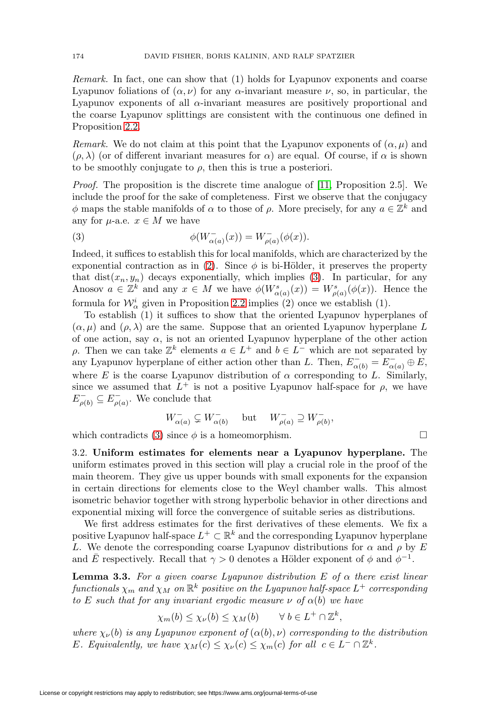Remark. In fact, one can show that (1) holds for Lyapunov exponents and coarse Lyapunov foliations of  $(\alpha, \nu)$  for any  $\alpha$ -invariant measure  $\nu$ , so, in particular, the Lyapunov exponents of all  $\alpha$ -invariant measures are positively proportional and the coarse Lyapunov splittings are consistent with the continuous one defined in Proposition [2.2.](#page-5-0)

Remark. We do not claim at this point that the Lyapunov exponents of  $(\alpha, \mu)$  and  $(\rho, \lambda)$  (or of different invariant measures for  $\alpha$ ) are equal. Of course, if  $\alpha$  is shown to be smoothly conjugate to  $\rho$ , then this is true a posteriori.

*Proof.* The proposition is the discrete time analogue of  $[11,$  Proposition 2.5. We include the proof for the sake of completeness. First we observe that the conjugacy  $\phi$  maps the stable manifolds of  $\alpha$  to those of  $\rho$ . More precisely, for any  $a \in \mathbb{Z}^k$  and any for  $\mu$ -a.e.  $x \in M$  we have

<span id="page-7-1"></span>(3) 
$$
\phi(W_{\alpha(a)}^{-}(x)) = W_{\rho(a)}^{-}(\phi(x)).
$$

Indeed, it suffices to establish this for local manifolds, which are characterized by the exponential contraction as in [\(2\)](#page-4-0). Since  $\phi$  is bi-Hölder, it preserves the property that dist $(x_n, y_n)$  decays exponentially, which implies [\(3\)](#page-7-1). In particular, for any Anosov  $a \in \mathbb{Z}^k$  and any  $x \in M$  we have  $\phi(W^s_{\alpha(a)}(x)) = W^s_{\rho(a)}(\phi(x))$ . Hence the formula for  $\mathcal{W}^i_\alpha$  given in Proposition [2.2](#page-5-0) implies (2) once we establish (1).

To establish (1) it suffices to show that the oriented Lyapunov hyperplanes of  $(\alpha, \mu)$  and  $(\rho, \lambda)$  are the same. Suppose that an oriented Lyapunov hyperplane L of one action, say  $\alpha$ , is not an oriented Lyapunov hyperplane of the other action  $ρ$ . Then we can take  $\mathbb{Z}^k$  elements  $a ∈ L^+$  and  $b ∈ L^-$  which are not separated by any Lyapunov hyperplane of either action other than L. Then,  $E_{\alpha(b)}^- = E_{\alpha(a)}^- \oplus E$ , where E is the coarse Lyapunov distribution of  $\alpha$  corresponding to L. Similarly, since we assumed that  $L^+$  is not a positive Lyapunov half-space for  $\rho$ , we have  $E_{\rho(b)}^{-} \subseteq E_{\rho(a)}^{-}$ . We conclude that

$$
W_{\alpha(a)}^- \subsetneq W_{\alpha(b)}^- \quad \text{ but } \quad W_{\rho(a)}^- \supseteq W_{\rho(b)}^-,
$$

<span id="page-7-0"></span>which contradicts [\(3\)](#page-7-1) since  $\phi$  is a homeomorphism.  $\Box$ 

3.2. **Uniform estimates for elements near a Lyapunov hyperplane.** The uniform estimates proved in this section will play a crucial role in the proof of the main theorem. They give us upper bounds with small exponents for the expansion in certain directions for elements close to the Weyl chamber walls. This almost isometric behavior together with strong hyperbolic behavior in other directions and exponential mixing will force the convergence of suitable series as distributions.

We first address estimates for the first derivatives of these elements. We fix a positive Lyapunov half-space  $L^+ \subset \mathbb{R}^k$  and the corresponding Lyapunov hyperplane L. We denote the corresponding coarse Lyapunov distributions for  $\alpha$  and  $\rho$  by E and  $\bar{E}$  respectively. Recall that  $\gamma > 0$  denotes a Hölder exponent of  $\phi$  and  $\phi^{-1}$ .

<span id="page-7-2"></span>**Lemma 3.3.** For a given coarse Lyapunov distribution E of  $\alpha$  there exist linear functionals  $\chi_m$  and  $\chi_M$  on  $\mathbb{R}^k$  positive on the Lyapunov half-space  $L^+$  corresponding to E such that for any invariant ergodic measure  $\nu$  of  $\alpha(b)$  we have

$$
\chi_m(b) \le \chi_\nu(b) \le \chi_M(b) \qquad \forall \ b \in L^+ \cap \mathbb{Z}^k,
$$

where  $\chi_{\nu}(b)$  is any Lyapunov exponent of  $(\alpha(b), \nu)$  corresponding to the distribution E. Equivalently, we have  $\chi_M(c) \leq \chi_{\nu}(c) \leq \chi_m(c)$  for all  $c \in L^- \cap \mathbb{Z}^k$ .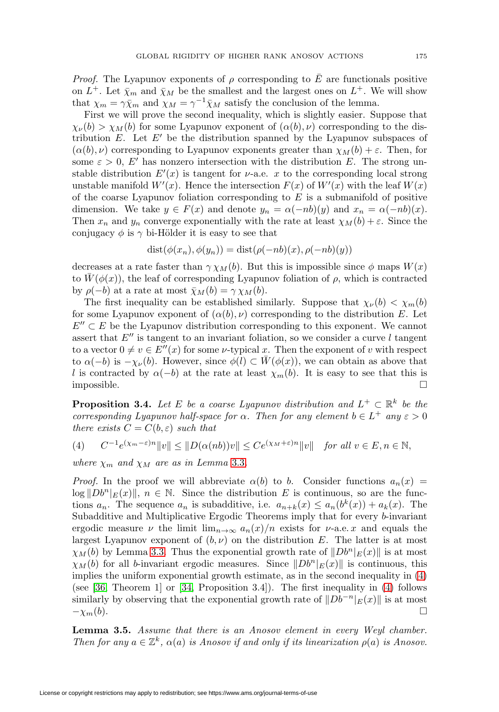*Proof.* The Lyapunov exponents of  $\rho$  corresponding to  $\overline{E}$  are functionals positive on  $L^+$ . Let  $\bar{\chi}_m$  and  $\bar{\chi}_M$  be the smallest and the largest ones on  $L^+$ . We will show that  $\chi_m = \gamma \bar{\chi}_m$  and  $\chi_M = \gamma^{-1} \bar{\chi}_M$  satisfy the conclusion of the lemma.

First we will prove the second inequality, which is slightly easier. Suppose that  $\chi_{\nu}(b) > \chi_M(b)$  for some Lyapunov exponent of  $(\alpha(b), \nu)$  corresponding to the distribution  $E$ . Let  $E'$  be the distribution spanned by the Lyapunov subspaces of  $(\alpha(b), \nu)$  corresponding to Lyapunov exponents greater than  $\chi_M(b) + \varepsilon$ . Then, for some  $\varepsilon > 0$ , E' has nonzero intersection with the distribution E. The strong unstable distribution  $E'(x)$  is tangent for  $\nu$ -a.e. x to the corresponding local strong unstable manifold  $W'(x)$ . Hence the intersection  $F(x)$  of  $W'(x)$  with the leaf  $W(x)$ of the coarse Lyapunov foliation corresponding to  $E$  is a submanifold of positive dimension. We take  $y \in F(x)$  and denote  $y_n = \alpha(-nb)(y)$  and  $x_n = \alpha(-nb)(x)$ . Then  $x_n$  and  $y_n$  converge exponentially with the rate at least  $\chi_M(b) + \varepsilon$ . Since the conjugacy  $\phi$  is  $\gamma$  bi-Hölder it is easy to see that

$$
dist(\phi(x_n), \phi(y_n)) = dist(\rho(-nb)(x), \rho(-nb)(y))
$$

decreases at a rate faster than  $\gamma \chi_M(b)$ . But this is impossible since  $\phi$  maps  $W(x)$ to  $W(\phi(x))$ , the leaf of corresponding Lyapunov foliation of  $\rho$ , which is contracted by  $\rho(-b)$  at a rate at most  $\bar{\chi}_M(b) = \gamma \chi_M(b)$ .

The first inequality can be established similarly. Suppose that  $\chi_{\nu}(b) < \chi_{m}(b)$ for some Lyapunov exponent of  $(\alpha(b), \nu)$  corresponding to the distribution E. Let  $E'' \subset E$  be the Lyapunov distribution corresponding to this exponent. We cannot assert that  $E''$  is tangent to an invariant foliation, so we consider a curve l tangent to a vector  $0 \neq v \in E''(x)$  for some  $\nu$ -typical x. Then the exponent of v with respect to  $\alpha(-b)$  is  $-\chi_{\nu}(b)$ . However, since  $\phi(l) \subset W(\phi(x))$ , we can obtain as above that l is contracted by  $\alpha(-b)$  at the rate at least  $\chi_m(b)$ . It is easy to see that this is impossible.  $\Box$ 

<span id="page-8-1"></span>**Proposition 3.4.** Let E be a coarse Lyapunov distribution and  $L^+ \subset \mathbb{R}^k$  be the corresponding Lyapunov half-space for  $\alpha$ . Then for any element  $b \in L^+$  any  $\varepsilon > 0$ there exists  $C = C(b, \varepsilon)$  such that

<span id="page-8-0"></span>
$$
(4) \qquad C^{-1}e^{(\chi_m - \varepsilon)n}||v|| \le ||D(\alpha(nb))v|| \le Ce^{(\chi_M + \varepsilon)n}||v|| \quad \text{for all } v \in E, n \in \mathbb{N},
$$

where  $\chi_m$  and  $\chi_M$  are as in Lemma [3.3](#page-7-2).

*Proof.* In the proof we will abbreviate  $\alpha(b)$  to b. Consider functions  $a_n(x)$  =  $\log \|Db^n|_E(x)\|, n \in \mathbb{N}$ . Since the distribution E is continuous, so are the functions  $a_n$ . The sequence  $a_n$  is subadditive, i.e.  $a_{n+k}(x) \le a_n(b^k(x)) + a_k(x)$ . The Subadditive and Multiplicative Ergodic Theorems imply that for every b-invariant ergodic measure  $\nu$  the limit  $\lim_{n\to\infty} a_n(x)/n$  exists for  $\nu$ -a.e. x and equals the largest Lyapunov exponent of  $(b, \nu)$  on the distribution E. The latter is at most  $\chi_M(b)$  by Lemma [3.3.](#page-7-2) Thus the exponential growth rate of  $\|Db^n|_E(x)\|$  is at most  $\chi_M(b)$  for all b-invariant ergodic measures. Since  $\|Db^n|_E(x)\|$  is continuous, this implies the uniform exponential growth estimate, as in the second inequality in [\(4\)](#page-8-0) (see [\[36,](#page-30-14) Theorem 1] or [\[34,](#page-30-1) Proposition 3.4]). The first inequality in [\(4\)](#page-8-0) follows similarly by observing that the exponential growth rate of  $||Db^{-n}|_E(x)||$  is at most  $-\chi_m(b).$ 

**Lemma 3.5.** Assume that there is an Anosov element in every Weyl chamber. Then for any  $a \in \mathbb{Z}^k$ ,  $\alpha(a)$  is Anosov if and only if its linearization  $\rho(a)$  is Anosov.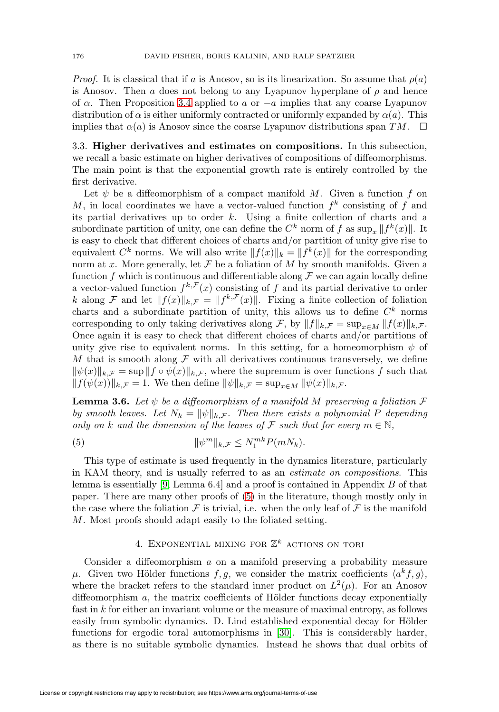*Proof.* It is classical that if a is Anosov, so is its linearization. So assume that  $\rho(a)$ is Anosov. Then a does not belong to any Lyapunov hyperplane of  $\rho$  and hence of  $\alpha$ . Then Proposition [3.4](#page-8-1) applied to a or  $-a$  implies that any coarse Lyapunov distribution of  $\alpha$  is either uniformly contracted or uniformly expanded by  $\alpha(a)$ . This implies that  $\alpha(a)$  is Anosov since the coarse Lyapunov distributions span  $TM$ .  $\Box$ 

<span id="page-9-2"></span>3.3. **Higher derivatives and estimates on compositions.** In this subsection, we recall a basic estimate on higher derivatives of compositions of diffeomorphisms. The main point is that the exponential growth rate is entirely controlled by the first derivative.

Let  $\psi$  be a diffeomorphism of a compact manifold M. Given a function f on M, in local coordinates we have a vector-valued function  $f^k$  consisting of f and its partial derivatives up to order  $k$ . Using a finite collection of charts and a subordinate partition of unity, one can define the  $C^k$  norm of f as  $\sup_x \|f^k(x)\|$ . It is easy to check that different choices of charts and/or partition of unity give rise to equivalent  $C^k$  norms. We will also write  $||f(x)||_k = ||f^k(x)||$  for the corresponding norm at x. More generally, let  $\mathcal F$  be a foliation of M by smooth manifolds. Given a function f which is continuous and differentiable along  $\mathcal F$  we can again locally define a vector-valued function  $f^{k,\mathcal{F}}(x)$  consisting of f and its partial derivative to order k along F and let  $||f(x)||_{k,\mathcal{F}} = ||f^{k,\mathcal{F}}(x)||$ . Fixing a finite collection of foliation charts and a subordinate partition of unity, this allows us to define  $C<sup>k</sup>$  norms corresponding to only taking derivatives along F, by  $||f||_{k,\mathcal{F}} = \sup_{x \in M} ||f(x)||_{k,\mathcal{F}}$ . Once again it is easy to check that different choices of charts and/or partitions of unity give rise to equivalent norms. In this setting, for a homeomorphism  $\psi$  of M that is smooth along  $\mathcal F$  with all derivatives continuous transversely, we define  $\|\psi(x)\|_{k,\mathcal{F}} = \sup \|f \circ \psi(x)\|_{k,\mathcal{F}}$ , where the supremum is over functions f such that  $||f(\psi(x))||_{k,\mathcal{F}} = 1$ . We then define  $||\psi||_{k,\mathcal{F}} = \sup_{x \in M} ||\psi(x)||_{k,\mathcal{F}}$ .

<span id="page-9-3"></span>**Lemma 3.6.** Let  $\psi$  be a diffeomorphism of a manifold M preserving a foliation  $\mathcal F$ by smooth leaves. Let  $N_k = ||\psi||_{k,\mathcal{F}}$ . Then there exists a polynomial P depending only on k and the dimension of the leaves of F such that for every  $m \in \mathbb{N}$ ,

<span id="page-9-1"></span>(5) 
$$
\|\psi^m\|_{k,\mathcal{F}} \leq N_1^{mk} P(mN_k).
$$

This type of estimate is used frequently in the dynamics literature, particularly in KAM theory, and is usually referred to as an estimate on compositions. This lemma is essentially [\[9,](#page-29-7) Lemma 6.4] and a proof is contained in Appendix B of that paper. There are many other proofs of [\(5\)](#page-9-1) in the literature, though mostly only in the case where the foliation  $\mathcal F$  is trivial, i.e. when the only leaf of  $\mathcal F$  is the manifold M. Most proofs should adapt easily to the foliated setting.

# 4. EXPONENTIAL MIXING FOR  $\mathbb{Z}^k$  actions on tori

<span id="page-9-0"></span>Consider a diffeomorphism  $a$  on a manifold preserving a probability measure μ. Given two Hölder functions f, g, we consider the matrix coefficients  $\langle a^k f, g \rangle$ , where the bracket refers to the standard inner product on  $L^2(\mu)$ . For an Anosov diffeomorphism  $a$ , the matrix coefficients of Hölder functions decay exponentially fast in  $k$  for either an invariant volume or the measure of maximal entropy, as follows easily from symbolic dynamics. D. Lind established exponential decay for Hölder functions for ergodic toral automorphisms in [\[30\]](#page-30-15). This is considerably harder, as there is no suitable symbolic dynamics. Instead he shows that dual orbits of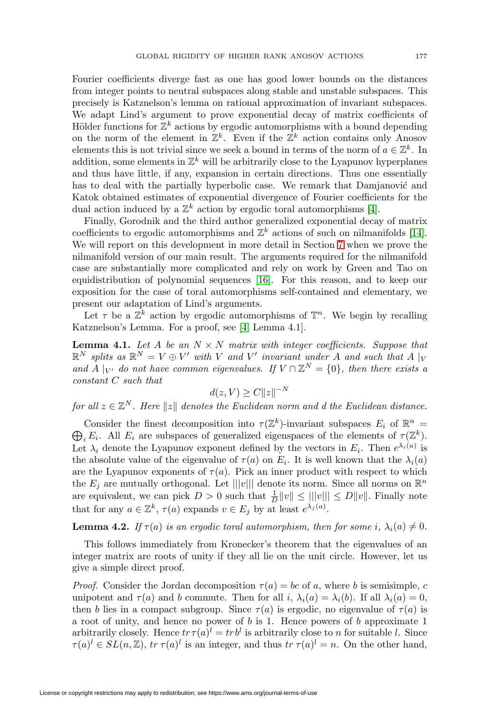from integer points to neutral subspaces along stable and unstable subspaces. This precisely is Katznelson's lemma on rational approximation of invariant subspaces. We adapt Lind's argument to prove exponential decay of matrix coefficients of Hölder functions for  $\mathbb{Z}^k$  actions by ergodic automorphisms with a bound depending on the norm of the element in  $\mathbb{Z}^k$ . Even if the  $\mathbb{Z}^k$  action contains only Anosov elements this is not trivial since we seek a bound in terms of the norm of  $a \in \mathbb{Z}^k$ . In addition, some elements in  $\mathbb{Z}^k$  will be arbitrarily close to the Lyapunov hyperplanes and thus have little, if any, expansion in certain directions. Thus one essentially has to deal with the partially hyperbolic case. We remark that Damjanović and Katok obtained estimates of exponential divergence of Fourier coefficients for the dual action induced by a  $\mathbb{Z}^k$  action by ergodic toral automorphisms [\[4\]](#page-29-8).

Finally, Gorodnik and the third author generalized exponential decay of matrix coefficients to ergodic automorphisms and  $\mathbb{Z}^k$  actions of such on nilmanifolds [\[14\]](#page-29-1). We will report on this development in more detail in Section [7](#page-18-0) when we prove the nilmanifold version of our main result. The arguments required for the nilmanifold case are substantially more complicated and rely on work by Green and Tao on equidistribution of polynomial sequences [\[16\]](#page-30-16). For this reason, and to keep our exposition for the case of toral automorphisms self-contained and elementary, we present our adaptation of Lind's arguments.

Let  $\tau$  be a  $\mathbb{Z}^k$  action by ergodic automorphisms of  $\mathbb{T}^n$ . We begin by recalling Katznelson's Lemma. For a proof, see [\[4,](#page-29-8) Lemma 4.1].

**Lemma 4.1.** Let A be an  $N \times N$  matrix with integer coefficients. Suppose that  $\mathbb{R}^N$  splits as  $\mathbb{R}^N = V \oplus V'$  with V and V' invariant under A and such that A |<sub>V</sub> and A | $_{V'}$  do not have common eigenvalues. If  $V \cap \mathbb{Z}^{N} = \{0\}$ , then there exists a constant C such that

$$
d(z, V) \ge C ||z||^{-N}
$$

for all  $z \in \mathbb{Z}^N$ . Here  $||z||$  denotes the Euclidean norm and d the Euclidean distance.

Consider the finest decomposition into  $\tau(\mathbb{Z}^k)$ -invariant subspaces  $E_i$  of  $\mathbb{R}^n$  = Consider the finest decomposition into  $\tau(\mathbb{Z}^k)$ -invariant subspaces  $E_i$  of  $\mathbb{R}^n = \bigoplus_i E_i$ . All  $E_i$  are subspaces of generalized eigenspaces of the elements of  $\tau(\mathbb{Z}^k)$ . Let  $\lambda_i$  denote the Lyapunov exponent defined by the vectors in  $E_i$ . Then  $e^{\lambda_i(a)}$  is the absolute value of the eigenvalue of  $\tau(a)$  on  $E_i$ . It is well known that the  $\lambda_i(a)$ are the Lyapunov exponents of  $\tau(a)$ . Pick an inner product with respect to which the  $E_j$  are mutually orthogonal. Let  $|||v|||$  denote its norm. Since all norms on  $\mathbb{R}^n$ are equivalent, we can pick  $D > 0$  such that  $\frac{1}{D} ||v|| \le |||v||| \le D ||v||$ . Finally note that for any  $a \in \mathbb{Z}^k$ ,  $\tau(a)$  expands  $v \in E_j$  by at least  $e^{\lambda_j(a)}$ .

**Lemma 4.2.** If  $\tau(a)$  is an ergodic toral automorphism, then for some i,  $\lambda_i(a) \neq 0$ .

This follows immediately from Kronecker's theorem that the eigenvalues of an integer matrix are roots of unity if they all lie on the unit circle. However, let us give a simple direct proof.

*Proof.* Consider the Jordan decomposition  $\tau(a) = bc$  of a, where b is semisimple, c unipotent and  $\tau(a)$  and b commute. Then for all i,  $\lambda_i(a) = \lambda_i(b)$ . If all  $\lambda_i(a) = 0$ , then b lies in a compact subgroup. Since  $\tau(a)$  is ergodic, no eigenvalue of  $\tau(a)$  is a root of unity, and hence no power of  $b$  is 1. Hence powers of  $b$  approximate 1 arbitrarily closely. Hence  $tr \tau(a)^l = tr b^l$  is arbitrarily close to n for suitable l. Since  $\tau(a)^l \in SL(n, \mathbb{Z})$ ,  $tr \tau(a)^l$  is an integer, and thus  $tr \tau(a)^l = n$ . On the other hand,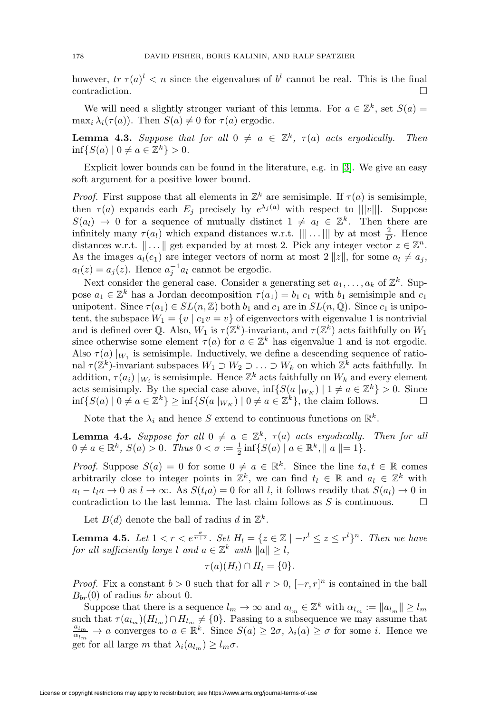however,  $tr \tau(a)^{l} < n$  since the eigenvalues of  $b^{l}$  cannot be real. This is the final  $\Box$ contradiction.  $\Box$ 

We will need a slightly stronger variant of this lemma. For  $a \in \mathbb{Z}^k$ , set  $S(a)$  =  $\max_i \lambda_i(\tau(a))$ . Then  $S(a) \neq 0$  for  $\tau(a)$  ergodic.

<span id="page-11-2"></span>**Lemma 4.3.** Suppose that for all  $0 \neq a \in \mathbb{Z}^k$ ,  $\tau(a)$  acts ergodically. Then  $\inf\{S(a) | 0 \neq a \in \mathbb{Z}^k\} > 0.$ 

Explicit lower bounds can be found in the literature, e.g. in [\[3\]](#page-29-9). We give an easy soft argument for a positive lower bound.

*Proof.* First suppose that all elements in  $\mathbb{Z}^k$  are semisimple. If  $\tau(a)$  is semisimple, then  $\tau(a)$  expands each  $E_i$  precisely by  $e^{\lambda_j(a)}$  with respect to  $|||v|||$ . Suppose  $S(a_l) \rightarrow 0$  for a sequence of mutually distinct  $1 \neq a_l \in \mathbb{Z}^k$ . Then there are infinitely many  $\tau(a_l)$  which expand distances w.r.t.  $||| \dots |||$  by at most  $\frac{2}{D}$ . Hence distances w.r.t.  $\|\ldots\|$  get expanded by at most 2. Pick any integer vector  $z \in \mathbb{Z}^n$ . As the images  $a_l(e_1)$  are integer vectors of norm at most  $2 ||z||$ , for some  $a_l \neq a_j$ ,  $a_l(z) = a_j(z)$ . Hence  $a_j^{-1}a_l$  cannot be ergodic.

Next consider the general case. Consider a generating set  $a_1, \ldots, a_k$  of  $\mathbb{Z}^k$ . Suppose  $a_1 \in \mathbb{Z}^k$  has a Jordan decomposition  $\tau(a_1) = b_1 c_1$  with  $b_1$  semisimple and  $c_1$ unipotent. Since  $\tau(a_1) \in SL(n, \mathbb{Z})$  both  $b_1$  and  $c_1$  are in  $SL(n, \mathbb{Q})$ . Since  $c_1$  is unipotent, the subspace  $W_1 = \{v \mid c_1v = v\}$  of eigenvectors with eigenvalue 1 is nontrivial and is defined over Q. Also,  $W_1$  is  $\tau(\mathbb{Z}^k)$ -invariant, and  $\tau(\mathbb{Z}^k)$  acts faithfully on  $W_1$ since otherwise some element  $\tau(a)$  for  $a \in \mathbb{Z}^k$  has eigenvalue 1 and is not ergodic. Also  $\tau(a)|_{W_1}$  is semisimple. Inductively, we define a descending sequence of rational  $\tau(\mathbb{Z}^k)$ -invariant subspaces  $W_1 \supset W_2 \supset \ldots \supset W_k$  on which  $\mathbb{Z}^k$  acts faithfully. In addition,  $\tau(a_i) |_{W_i}$  is semisimple. Hence  $\mathbb{Z}^k$  acts faithfully on  $W_k$  and every element acts semisimply. By the special case above,  $\inf \{ S(a |_{W_K}) \mid 1 \neq a \in \mathbb{Z}^k \} > 0$ . Since  $\inf\{S(a) \mid 0 \neq a \in \mathbb{Z}^k\} \geq \inf\{S(a \mid W_K) \mid 0 \neq a \in \mathbb{Z}^k\}$ , the claim follows.

Note that the  $\lambda_i$  and hence S extend to continuous functions on  $\mathbb{R}^k$ .

<span id="page-11-1"></span>**Lemma 4.4.** Suppose for all  $0 \neq a \in \mathbb{Z}^k$ ,  $\tau(a)$  acts ergodically. Then for all  $0 \neq a \in \mathbb{R}^k$ ,  $S(a) > 0$ . Thus  $0 < \sigma := \frac{1}{2} \inf \{ S(a) \mid a \in \mathbb{R}^k, \|a\| = 1 \}.$ 

*Proof.* Suppose  $S(a) = 0$  for some  $0 \neq a \in \mathbb{R}^k$ . Since the line  $ta, t \in \mathbb{R}$  comes arbitrarily close to integer points in  $\mathbb{Z}^k$ , we can find  $t_l \in \mathbb{R}$  and  $a_l \in \mathbb{Z}^k$  with  $a_l - t_l a \rightarrow 0$  as  $l \rightarrow \infty$ . As  $S(t_l a) = 0$  for all l, it follows readily that  $S(a_l) \rightarrow 0$  in contradiction to the last lemma. The last claim follows as S is continuous.  $\Box$ 

Let  $B(d)$  denote the ball of radius d in  $\mathbb{Z}^k$ .

<span id="page-11-0"></span>**Lemma 4.5.** Let  $1 < r < e^{\frac{\sigma}{n+2}}$ . Set  $H_l = \{z \in \mathbb{Z} \mid -r^l \leq z \leq r^l\}^n$ . Then we have for all sufficiently large l and  $a \in \mathbb{Z}^k$  with  $\|a\| \geq l$ ,

$$
\tau(a)(H_l) \cap H_l = \{0\}.
$$

*Proof.* Fix a constant  $b > 0$  such that for all  $r > 0$ ,  $[-r, r]^n$  is contained in the ball  $B_{br}(0)$  of radius br about 0.

Suppose that there is a sequence  $l_m \to \infty$  and  $a_{l_m} \in \mathbb{Z}^k$  with  $\alpha_{l_m} := ||a_{l_m}|| \ge l_m$ such that  $\tau(a_{l_m})(H_{l_m})\cap H_{l_m}\neq\{0\}$ . Passing to a subsequence we may assume that  $a_{l_m}\to a$  converges to  $a\in\mathbb{R}^k$ . Since  $S(a) \geq 2\pi$ ,  $\lambda(a) \geq \pi$  for some i. Hence we  $\frac{a_{l_m}}{\alpha_{l_m}} \to a$  converges to  $a \in \mathbb{R}^k$ . Since  $S(a) \geq 2\sigma$ ,  $\lambda_i(a) \geq \sigma$  for some *i*. Hence we get for all large m that  $\lambda_i(a_{l_m}) \geq l_m \sigma$ .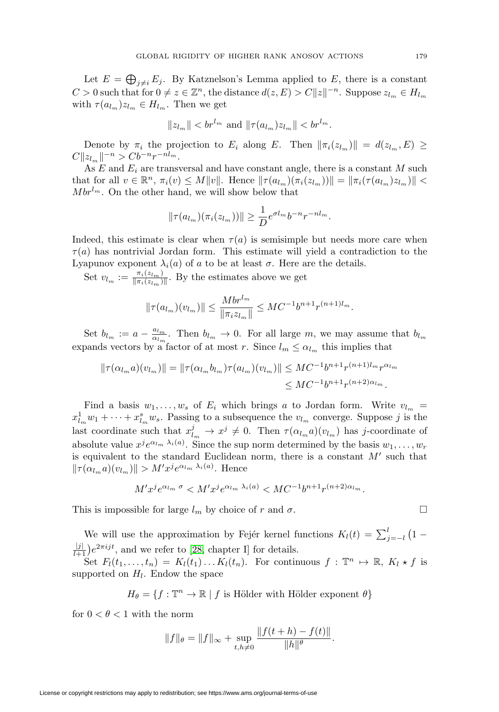Let  $E = \bigoplus_{j \neq i} E_j$ . By Katznelson's Lemma applied to E, there is a constant  $C > 0$  such that for  $0 \neq z \in \mathbb{Z}^n$ , the distance  $d(z, E) > C||z||^{-n}$ . Suppose  $z_{l_m} \in H_{l_m}$ with  $\tau(a_{l_m})z_{l_m} \in H_{l_m}$ . Then we get

$$
||z_{l_m}|| < br^{l_m}
$$
 and  $||\tau(a_{l_m})z_{l_m}|| < br^{l_m}$ .

Denote by  $\pi_i$  the projection to  $E_i$  along E. Then  $\|\pi_i(z_{l_m})\| = d(z_{l_m}, E) \ge$  $C||z_{l_m}||^{-n} > Cb^{-n}r^{-nl_m}.$ 

As  $E$  and  $E_i$  are transversal and have constant angle, there is a constant  $M$  such that for all  $v \in \mathbb{R}^n$ ,  $\pi_i(v) \leq M||v||$ . Hence  $\|\tau(a_{l_m})(\pi_i(z_{l_m}))\| = \|\pi_i(\tau(a_{l_m})z_{l_m})\|$  $Mbr^{l_m}$ . On the other hand, we will show below that

$$
\|\tau(a_{l_m})(\pi_i(z_{l_m}))\| \ge \frac{1}{D}e^{\sigma l_m}b^{-n}r^{-nl_m}.
$$

Indeed, this estimate is clear when  $\tau(a)$  is semisimple but needs more care when  $\tau(a)$  has nontrivial Jordan form. This estimate will yield a contradiction to the Lyapunov exponent  $\lambda_i(a)$  of a to be at least  $\sigma$ . Here are the details.

Set  $v_{l_m} := \frac{\pi_i(z_{l_m})}{\|\pi_i(z_{l_m})\|}$ . By the estimates above we get

$$
\|\tau(a_{l_m})(v_{l_m})\| \le \frac{Mbr^{l_m}}{\|\pi_i z_{l_m}\|} \le MC^{-1}b^{n+1}r^{(n+1)l_m}.
$$

Set  $b_{l_m} := a - \frac{a_{l_m}}{\alpha_{l_m}}$ . Then  $b_{l_m} \to 0$ . For all large m, we may assume that  $b_{l_m}$ expands vectors by a factor of at most r. Since  $l_m \leq \alpha_{l_m}$  this implies that

$$
\|\tau(\alpha_{l_m}a)(v_{l_m})\| = \|\tau(\alpha_{l_m}b_{l_m})\tau(a_{l_m})(v_{l_m})\| \leq MC^{-1}b^{n+1}r^{(n+1)l_m}r^{\alpha_{l_m}}
$$
  

$$
\leq MC^{-1}b^{n+1}r^{(n+2)\alpha_{l_m}}.
$$

Find a basis  $w_1, \ldots, w_s$  of  $E_i$  which brings a to Jordan form. Write  $v_{l_m}$  =  $x_{l_m}^1 w_1 + \cdots + x_{l_m}^s w_s$ . Passing to a subsequence the  $v_{l_m}$  converge. Suppose j is the last coordinate such that  $x_{l_m}^j \to x^j \neq 0$ . Then  $\tau(\alpha_{l_m}a)(v_{l_m})$  has j-coordinate of absolute value  $x^j e^{\alpha_{l_m}\lambda_i(a)}$ . Since the sup norm determined by the basis  $w_1, \ldots, w_r$ is equivalent to the standard Euclidean norm, there is a constant  $M'$  such that  $\|\tau(\alpha_{l_m}a)(v_{l_m})\| > M'x^j e^{\alpha_{l_m}\lambda_i(a)}$ . Hence

$$
M'x^j e^{\alpha_{l_m}\sigma} \langle M'x^j e^{\alpha_{l_m}\lambda_i(a)} \langle MC^{-1}b^{n+1}r^{(n+2)\alpha_{l_m}}.
$$

This is impossible for large  $l_m$  by choice of r and  $\sigma$ .

We will use the approximation by Fejér kernel functions  $K_l(t) = \sum_{j=-l}^{l} (1-t)^j$  $\frac{|j|}{l+1}$ ) $e^{2\pi i j t}$ , and we refer to [\[28,](#page-30-17) chapter I] for details.

Set  $F_l(t_1,\ldots,t_n) = K_l(t_1)\ldots K_l(t_n)$ . For continuous  $f: \mathbb{T}^n \mapsto \mathbb{R}, K_l \star f$  is supported on  $H_l$ . Endow the space

 $H_{\theta} = \{f : \mathbb{T}^n \to \mathbb{R} \mid f \text{ is Hölder with Hölder exponent } \theta\}$ 

for  $0 < \theta < 1$  with the norm

$$
||f||_{\theta} = ||f||_{\infty} + \sup_{t,h \neq 0} \frac{||f(t+h) - f(t)||}{||h||^{\theta}}.
$$

$$
\Box
$$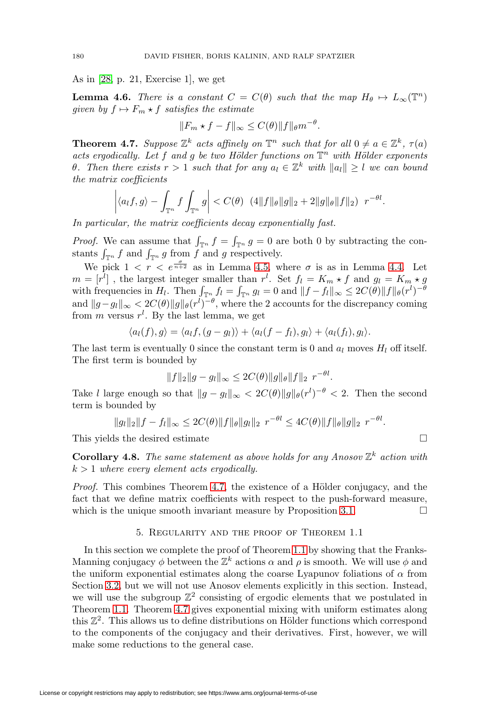As in [\[28,](#page-30-17) p. 21, Exercise 1], we get

**Lemma 4.6.** There is a constant  $C = C(\theta)$  such that the map  $H_{\theta} \mapsto L_{\infty}(\mathbb{T}^n)$ given by  $f \mapsto F_m \star f$  satisfies the estimate

$$
||F_m \star f - f||_{\infty} \le C(\theta) ||f||_{\theta} m^{-\theta}.
$$

<span id="page-13-1"></span>**Theorem 4.7.** Suppose  $\mathbb{Z}^k$  acts affinely on  $\mathbb{T}^n$  such that for all  $0 \neq a \in \mathbb{Z}^k$ ,  $\tau(a)$ acts ergodically. Let f and g be two Hölder functions on  $\mathbb{T}^n$  with Hölder exponents θ. Then there exists  $r > 1$  such that for any  $a_l \in \mathbb{Z}^k$  with  $||a_l|| \geq l$  we can bound the matrix coefficients

$$
\left| \langle a_l f, g \rangle - \int_{\mathbb{T}^n} f \int_{\mathbb{T}^n} g \right| < C(\theta) \left( 4 \| f \|_{\theta} \| g \|_2 + 2 \| g \|_{\theta} \| f \|_2 \right) \ r^{-\theta l}.
$$

In particular, the matrix coefficients decay exponentially fast.

*Proof.* We can assume that  $\int_{\mathbb{T}^n} f = \int_{\mathbb{T}^n} g = 0$  are both 0 by subtracting the constants  $\int_{\mathbb{T}^n} f$  and  $\int_{\mathbb{T}^n} g$  from f and g respectively.

We pick  $1 \lt r \leq e^{\frac{\sigma}{n+2}}$  as in Lemma [4.5,](#page-11-0) where  $\sigma$  is as in Lemma [4.4.](#page-11-1) Let  $m = [r<sup>l</sup>]$ , the largest integer smaller than  $r<sup>l</sup>$ . Set  $f<sub>l</sub> = K<sub>m</sub> \star f$  and  $g<sub>l</sub> = K<sub>m</sub> \star g$ with frequencies in  $H_l$ . Then  $\int_{\mathbb{T}^n} f_l = \int_{\mathbb{T}^n} g_l = 0$  and  $||f - f_l||_{\infty} \leq 2C(\theta) ||f||_{\theta}(r^l)^{-\theta}$ and  $||g - g_l||_{\infty} < 2C(\theta) ||g||_{\theta}(r^l)^{-\theta}$ , where the 2 accounts for the discrepancy coming from m versus  $r^l$ . By the last lemma, we get

$$
\langle a_l(f), g \rangle = \langle a_l f, (g - g_l) \rangle + \langle a_l (f - f_l), g_l \rangle + \langle a_l (f_l), g_l \rangle.
$$

The last term is eventually 0 since the constant term is 0 and  $a_l$  moves  $H_l$  off itself. The first term is bounded by

$$
||f||_2||g - g_l||_{\infty} \le 2C(\theta) ||g||_{\theta} ||f||_2 r^{-\theta l}.
$$

Take l large enough so that  $||g - g_l||_{\infty} < 2C(\theta) ||g||_{\theta}(r^l)^{-\theta} < 2$ . Then the second term is bounded by

$$
||g_l||_2||f - f_l||_{\infty} \le 2C(\theta) ||f||_{\theta} ||g_l||_2 r^{-\theta l} \le 4C(\theta) ||f||_{\theta} ||g||_2 r^{-\theta l}.
$$

This yields the desired estimate  $\Box$ 

<span id="page-13-2"></span>**Corollary 4.8.** The same statement as above holds for any Anosov  $\mathbb{Z}^k$  action with  $k > 1$  where every element acts ergodically.

*Proof.* This combines Theorem [4.7,](#page-13-1) the existence of a Hölder conjugacy, and the fact that we define matrix coefficients with respect to the push-forward measure, which is the unique smooth invariant measure by Proposition [3.1.](#page-6-1)  $\Box$ 

## 5. Regularity and the proof of Theorem 1.1

<span id="page-13-0"></span>In this section we complete the proof of Theorem [1.1](#page-0-0) by showing that the Franks-Manning conjugacy  $\phi$  between the  $\mathbb{Z}^k$  actions  $\alpha$  and  $\rho$  is smooth. We will use  $\phi$  and the uniform exponential estimates along the coarse Lyapunov foliations of  $\alpha$  from Section [3.2,](#page-7-0) but we will not use Anosov elements explicitly in this section. Instead, we will use the subgroup  $\mathbb{Z}^2$  consisting of ergodic elements that we postulated in Theorem [1.1.](#page-0-0) Theorem [4.7](#page-13-1) gives exponential mixing with uniform estimates along this  $\mathbb{Z}^2$ . This allows us to define distributions on Hölder functions which correspond to the components of the conjugacy and their derivatives. First, however, we will make some reductions to the general case.

$$
\Box
$$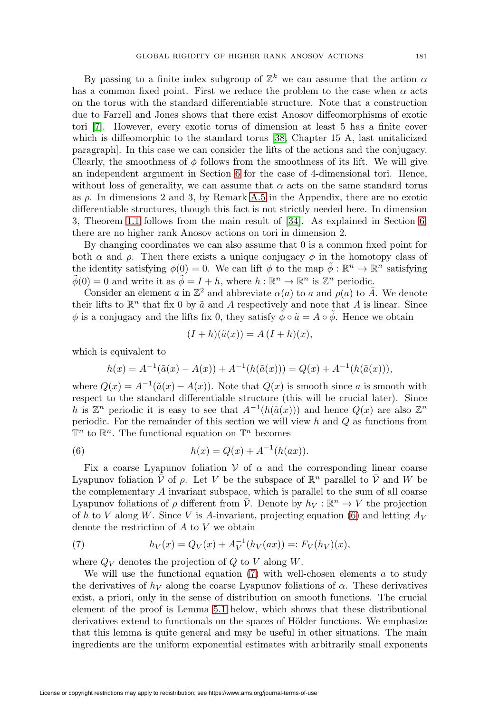By passing to a finite index subgroup of  $\mathbb{Z}^k$  we can assume that the action  $\alpha$ has a common fixed point. First we reduce the problem to the case when  $\alpha$  acts on the torus with the standard differentiable structure. Note that a construction due to Farrell and Jones shows that there exist Anosov diffeomorphisms of exotic tori [\[7\]](#page-29-3). However, every exotic torus of dimension at least 5 has a finite cover which is diffeomorphic to the standard torus [\[38,](#page-30-18) Chapter 15 A, last unitalicized paragraph]. In this case we can consider the lifts of the actions and the conjugacy. Clearly, the smoothness of  $\phi$  follows from the smoothness of its lift. We will give an independent argument in Section [6](#page-17-0) for the case of 4-dimensional tori. Hence, without loss of generality, we can assume that  $\alpha$  acts on the same standard torus as  $\rho$ . In dimensions 2 and 3, by Remark [A.5](#page-29-10) in the Appendix, there are no exotic differentiable structures, though this fact is not strictly needed here. In dimension 3, Theorem [1.1](#page-0-0) follows from the main result of [\[34\]](#page-30-1). As explained in Section [6,](#page-17-0) there are no higher rank Anosov actions on tori in dimension 2.

By changing coordinates we can also assume that 0 is a common fixed point for both  $\alpha$  and  $\rho$ . Then there exists a unique conjugacy  $\phi$  in the homotopy class of the identity satisfying  $\phi(0) = 0$ . We can lift  $\phi$  to the map  $\phi : \mathbb{R}^n \to \mathbb{R}^n$  satisfying  $\tilde{\phi}(0) = 0$  and write it as  $\tilde{\phi} = I + h$ , where  $h : \mathbb{R}^n \to \mathbb{R}^n$  is  $\mathbb{Z}^n$  periodic.

Consider an element a in  $\mathbb{Z}^2$  and abbreviate  $\alpha(a)$  to a and  $\rho(a)$  to  $\overline{A}$ . We denote their lifts to  $\mathbb{R}^n$  that fix 0 by  $\tilde{a}$  and A respectively and note that A is linear. Since  $\phi$  is a conjugacy and the lifts fix 0, they satisfy  $\phi \circ \tilde{a} = A \circ \phi$ . Hence we obtain

$$
(I+h)(\tilde{a}(x)) = A(I+h)(x),
$$

which is equivalent to

$$
h(x) = A^{-1}(\tilde{a}(x) - A(x)) + A^{-1}(h(\tilde{a}(x))) = Q(x) + A^{-1}(h(\tilde{a}(x))),
$$

where  $Q(x) = A^{-1}(\tilde{a}(x) - A(x))$ . Note that  $Q(x)$  is smooth since a is smooth with respect to the standard differentiable structure (this will be crucial later). Since h is  $\mathbb{Z}^n$  periodic it is easy to see that  $A^{-1}(h(\tilde{a}(x)))$  and hence  $Q(x)$  are also  $\mathbb{Z}^n$ periodic. For the remainder of this section we will view  $h$  and  $Q$  as functions from  $\mathbb{T}^n$  to  $\mathbb{R}^n$ . The functional equation on  $\mathbb{T}^n$  becomes

<span id="page-14-0"></span>(6) 
$$
h(x) = Q(x) + A^{-1}(h(ax)).
$$

Fix a coarse Lyapunov foliation  $V$  of  $\alpha$  and the corresponding linear coarse Lyapunov foliation  $\bar{\mathcal{V}}$  of  $\rho$ . Let V be the subspace of  $\mathbb{R}^n$  parallel to  $\bar{\mathcal{V}}$  and W be the complementary A invariant subspace, which is parallel to the sum of all coarse Lyapunov foliations of  $\rho$  different from  $\bar{\mathcal{V}}$ . Denote by  $h_V : \mathbb{R}^n \to V$  the projection of h to V along W. Since V is A-invariant, projecting equation [\(6\)](#page-14-0) and letting  $A_V$ denote the restriction of A to V we obtain

<span id="page-14-1"></span>(7) 
$$
h_V(x) = Q_V(x) + A_V^{-1}(h_V(ax)) =: F_V(h_V)(x),
$$

where  $Q_V$  denotes the projection of  $Q$  to  $V$  along  $W$ .

We will use the functional equation  $(7)$  with well-chosen elements a to study the derivatives of  $h_V$  along the coarse Lyapunov foliations of  $\alpha$ . These derivatives exist, a priori, only in the sense of distribution on smooth functions. The crucial element of the proof is Lemma [5.1](#page-15-0) below, which shows that these distributional derivatives extend to functionals on the spaces of Hölder functions. We emphasize that this lemma is quite general and may be useful in other situations. The main ingredients are the uniform exponential estimates with arbitrarily small exponents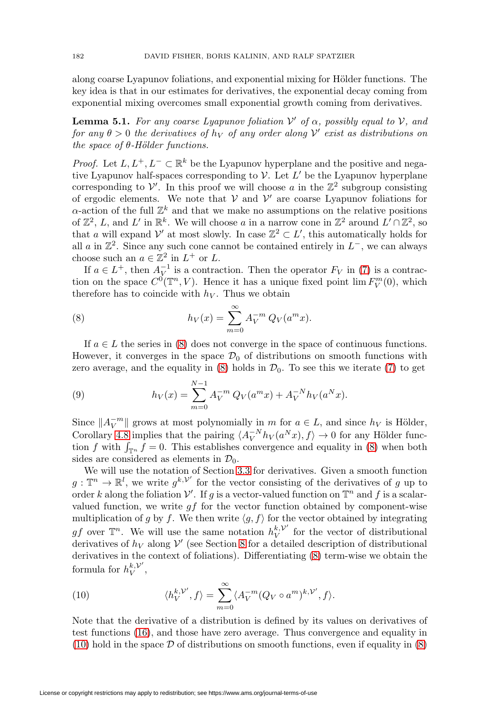along coarse Lyapunov foliations, and exponential mixing for Hölder functions. The key idea is that in our estimates for derivatives, the exponential decay coming from exponential mixing overcomes small exponential growth coming from derivatives.

<span id="page-15-0"></span>**Lemma 5.1.** For any coarse Lyapunov foliation  $V'$  of  $\alpha$ , possibly equal to  $V$ , and for any  $\theta > 0$  the derivatives of  $h_V$  of any order along  $V'$  exist as distributions on the space of  $\theta$ -Hölder functions.

*Proof.* Let  $L, L^+, L^- \subset \mathbb{R}^k$  be the Lyapunov hyperplane and the positive and negative Lyapunov half-spaces corresponding to  $V$ . Let  $L'$  be the Lyapunov hyperplane corresponding to  $\mathcal V'$ . In this proof we will choose a in the  $\mathbb Z^2$  subgroup consisting of ergodic elements. We note that  $V$  and  $V'$  are coarse Lyapunov foliations for  $\alpha$ -action of the full  $\mathbb{Z}^k$  and that we make no assumptions on the relative positions of  $\mathbb{Z}^2$ , L, and L' in  $\mathbb{R}^k$ . We will choose a in a narrow cone in  $\mathbb{Z}^2$  around  $L' \cap \mathbb{Z}^2$ , so that a will expand  $\mathcal{V}'$  at most slowly. In case  $\mathbb{Z}^2 \subset L'$ , this automatically holds for all a in  $\mathbb{Z}^2$ . Since any such cone cannot be contained entirely in  $L^-$ , we can always choose such an  $a \in \mathbb{Z}^2$  in  $L^+$  or  $L$ .

If  $a \in L^+$ , then  $A_V^{-1}$  is a contraction. Then the operator  $F_V$  in [\(7\)](#page-14-1) is a contraction on the space  $C^0(\mathbb{T}^n, V)$ . Hence it has a unique fixed point  $\lim F_V^m(0)$ , which therefore has to coincide with  $h_V$ . Thus we obtain

<span id="page-15-1"></span>(8) 
$$
h_V(x) = \sum_{m=0}^{\infty} A_V^{-m} Q_V(a^m x).
$$

If  $a \in L$  the series in [\(8\)](#page-15-1) does not converge in the space of continuous functions. However, it converges in the space  $\mathcal{D}_0$  of distributions on smooth functions with zero average, and the equality in  $(8)$  holds in  $\mathcal{D}_0$ . To see this we iterate  $(7)$  to get

(9) 
$$
h_V(x) = \sum_{m=0}^{N-1} A_V^{-m} Q_V(a^m x) + A_V^{-N} h_V(a^N x).
$$

Since  $||A_V^{-m}||$  grows at most polynomially in m for  $a \in L$ , and since  $h_V$  is Hölder, Corollary [4.8](#page-13-2) implies that the pairing  $\langle A_V^{-N} h_V(a^N x), f \rangle \to 0$  for any Hölder function f with  $\int_{\mathbb{T}^n} f = 0$ . This establishes convergence and equality in [\(8\)](#page-15-1) when both sides are considered as elements in  $\mathcal{D}_0$ .

We will use the notation of Section [3.3](#page-9-2) for derivatives. Given a smooth function  $g: \mathbb{T}^n \to \mathbb{R}^l$ , we write  $g^{k,\mathcal{V}'}$  for the vector consisting of the derivatives of g up to order k along the foliation  $\mathcal{V}'$ . If g is a vector-valued function on  $\mathbb{T}^n$  and f is a scalarvalued function, we write  $qf$  for the vector function obtained by component-wise multiplication of g by f. We then write  $\langle g, f \rangle$  for the vector obtained by integrating gf over  $\mathbb{T}^n$ . We will use the same notation  $h_V^{k,\mathcal{V}'}$  for the vector of distributional derivatives of  $h_V$  along  $V'$  (see Section [8](#page-20-0) for a detailed description of distributional derivatives in the context of foliations). Differentiating [\(8\)](#page-15-1) term-wise we obtain the formula for  $h_V^{k,\mathcal{V}'},$ 

<span id="page-15-2"></span>(10) 
$$
\langle h_V^{k,\mathcal{V}'}, f \rangle = \sum_{m=0}^{\infty} \langle A_V^{-m} (Q_V \circ a^m)^{k,\mathcal{V}'}, f \rangle.
$$

Note that the derivative of a distribution is defined by its values on derivatives of test functions [\(16\)](#page-22-0), and those have zero average. Thus convergence and equality in  $(10)$  hold in the space  $\mathcal D$  of distributions on smooth functions, even if equality in  $(8)$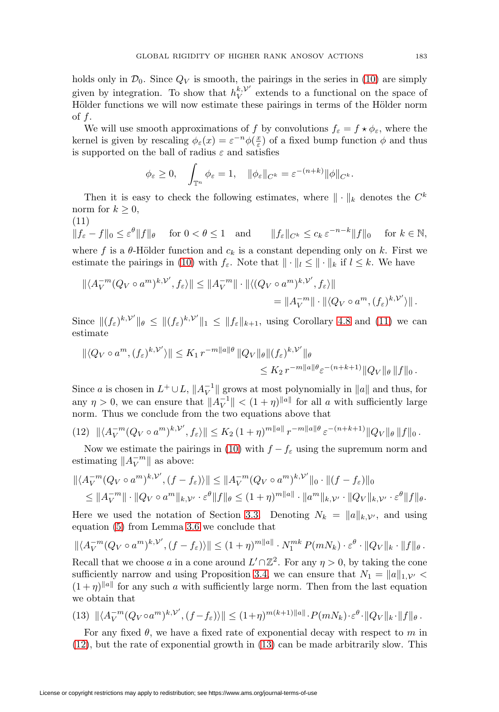holds only in  $\mathcal{D}_0$ . Since  $Q_V$  is smooth, the pairings in the series in [\(10\)](#page-15-2) are simply given by integration. To show that  $h_V^{k, \mathcal{V}'}$  extends to a functional on the space of Hölder functions we will now estimate these pairings in terms of the Hölder norm of  $f$ .

We will use smooth approximations of f by convolutions  $f_{\varepsilon} = f \star \phi_{\varepsilon}$ , where the kernel is given by rescaling  $\phi_{\varepsilon}(x) = \varepsilon^{-n} \phi(\frac{x}{\varepsilon})$  of a fixed bump function  $\phi$  and thus is supported on the ball of radius  $\varepsilon$  and satisfies

$$
\phi_{\varepsilon} \ge 0
$$
,  $\int_{\mathbb{T}^n} \phi_{\varepsilon} = 1$ ,  $\|\phi_{\varepsilon}\|_{C^k} = \varepsilon^{-(n+k)} \|\phi\|_{C^k}$ .

Then it is easy to check the following estimates, where  $\|\cdot\|_k$  denotes the  $C^k$ norm for  $k \geq 0$ ,

<span id="page-16-0"></span>(11)  $\|f_{\varepsilon} - f\|_{0} \leq \varepsilon^{\theta} \|f\|_{\theta}$  for  $0 < \theta \leq 1$  and  $\|f_{\varepsilon}\|_{C^{k}} \leq c_{k} \varepsilon^{-n-k} \|f\|_{0}$  for  $k \in \mathbb{N}$ , where f is a  $\theta$ -Hölder function and  $c_k$  is a constant depending only on k. First we estimate the pairings in [\(10\)](#page-15-2) with  $f_{\varepsilon}$ . Note that  $\|\cdot\|_{l} \leq \|\cdot\|_{k}$  if  $l \leq k$ . We have  $k \sim$ 

$$
\begin{aligned} \|\langle A_V^{-m}(Q_V \circ a^m)^{k, \mathcal{V}'}, f_{\varepsilon} \rangle \| &\le \|A_V^{-m}\| \cdot \|\langle (Q_V \circ a^m)^{k, \mathcal{V}'}, f_{\varepsilon} \rangle \| \\ &= \|A_V^{-m}\| \cdot \|\langle Q_V \circ a^m, (f_{\varepsilon})^{k, \mathcal{V}'} \rangle \| \, . \end{aligned}
$$

Since  $||(f_{\varepsilon})^{k,\mathcal{V}'}||_{\theta} \leq ||(f_{\varepsilon})^{k,\mathcal{V}'}||_{1} \leq ||f_{\varepsilon}||_{k+1}$ , using Corollary [4.8](#page-13-2) and [\(11\)](#page-16-0) we can estimate

$$
\begin{aligned} \|\langle Q_V \circ a^m, (f_{\varepsilon})^{k, \mathcal{V}'} \rangle \| &\le K_1 \, r^{-m \|a\| \theta} \, \|Q_V\|_{\theta} \|(f_{\varepsilon})^{k, \mathcal{V}'}\|_{\theta} \\ &\le K_2 \, r^{-m \|a\| \theta} \varepsilon^{-(n+k+1)} \|Q_V\|_{\theta} \, \|f\|_0 \, . \end{aligned}
$$

Since a is chosen in  $L^+ \cup L$ ,  $||A_V^{-1}||$  grows at most polynomially in  $||a||$  and thus, for any  $\eta > 0$ , we can ensure that  $||A_V^{-1}|| < (1 + \eta)^{||a||}$  for all a with sufficiently large norm. Thus we conclude from the two equations above that

<span id="page-16-1"></span>
$$
(12) \ \|\langle A_V^{-m}(Q_V \circ a^m)^{k, \mathcal{V}'}, f_{\varepsilon} \rangle\| \le K_2 \ (1+\eta)^{m \|a\|} \ r^{-m \|a\| \theta} \ \varepsilon^{-(n+k+1)} \|Q_V\|_{\theta} \, \|f\|_0 \, .
$$

Now we estimate the pairings in [\(10\)](#page-15-2) with  $f - f_{\varepsilon}$  using the supremum norm and estimating  $||A_V^{-m}||$  as above:

$$
\begin{aligned} \|\langle A_V^{-m}(Q_V \circ a^m)^{k, \mathcal{V}'} , (f - f_{\varepsilon}) \rangle \| &\le \|A_V^{-m}(Q_V \circ a^m)^{k, \mathcal{V}'}\|_0 \cdot \|(f - f_{\varepsilon})\|_0 \\ &\le \|A_V^{-m}\| \cdot \|Q_V \circ a^m\|_{k, \mathcal{V}'} \cdot \varepsilon^{\theta} \|f\|_{\theta} \le (1 + \eta)^{m \|a\|} \cdot \|a^m\|_{k, \mathcal{V}'} \cdot \|Q_V\|_{k, \mathcal{V}'} \cdot \varepsilon^{\theta} \|f\|_{\theta}.\end{aligned}
$$

Here we used the notation of Section [3.3.](#page-9-2) Denoting  $N_k = ||a||_{k, \mathcal{V}}$ , and using equation [\(5\)](#page-9-1) from Lemma [3.6](#page-9-3) we conclude that

$$
\|\langle A_V^{-m}(Q_V\circ a^m)^{k,\mathcal{V}'}, (f-f_{\varepsilon})\rangle\| \le (1+\eta)^{m\|a\|} \cdot N_1^{mk} P(mN_k) \cdot \varepsilon^{\theta} \cdot \|Q_V\|_k \cdot \|f\|_{\theta}.
$$

Recall that we choose a in a cone around  $L' \cap \mathbb{Z}^2$ . For any  $\eta > 0$ , by taking the cone sufficiently narrow and using Proposition [3.4,](#page-8-1) we can ensure that  $N_1 = ||a||_{1, \mathcal{V}'} <$  $(1 + \eta)^{||a||}$  for any such a with sufficiently large norm. Then from the last equation we obtain that

<span id="page-16-2"></span>(13) 
$$
\|\langle A_V^{-m}(Q_V \circ a^m)^{k, \mathcal{V}'}, (f - f_\varepsilon) \rangle\| \le (1 + \eta)^{m(k+1)\|a\|} \cdot P(mN_k) \cdot \varepsilon^{\theta} \cdot \|Q_V\|_k \cdot \|f\|_{\theta}.
$$

For any fixed  $\theta$ , we have a fixed rate of exponential decay with respect to m in [\(12\)](#page-16-1), but the rate of exponential growth in [\(13\)](#page-16-2) can be made arbitrarily slow. This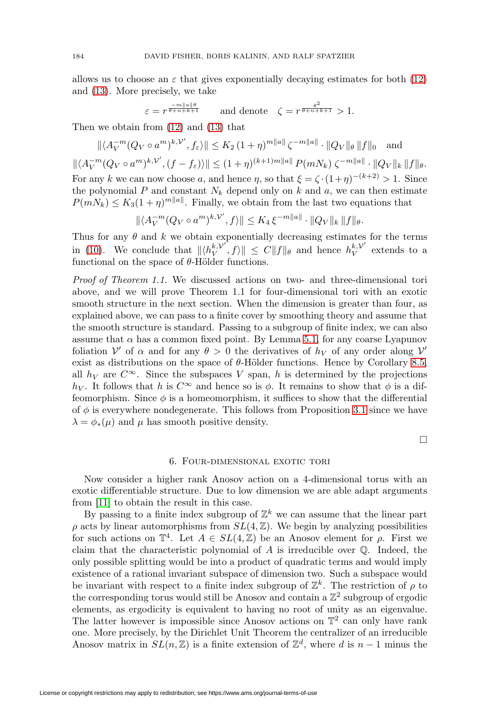allows us to choose an  $\varepsilon$  that gives exponentially decaying estimates for both [\(12\)](#page-16-1) and [\(13\)](#page-16-2). More precisely, we take

$$
\varepsilon = r^{\frac{-m\|a\|\theta}{\theta + n + k + 1}} \qquad \text{and denote} \quad \zeta = r^{\frac{\theta^2}{\theta + n + k + 1}} > 1.
$$

Then we obtain from [\(12\)](#page-16-1) and [\(13\)](#page-16-2) that

$$
\|\langle A_V^{-m}(Q_V \circ a^m)^{k, \mathcal{V}'}, f_{\varepsilon} \rangle\| \le K_2 (1 + \eta)^{m||a||} \zeta^{-m||a||} \cdot \|Q_V\|_{\theta} \|f\|_0 \quad \text{and}
$$
  

$$
\|\langle A_V^{-m}(Q_V \circ a^m)^{k, \mathcal{V}'}, (f - f_{\varepsilon}) \rangle\| \le (1 + \eta)^{(k+1)m||a||} P(mN_k) \zeta^{-m||a||} \cdot \|Q_V\|_k \|f\|_{\theta}.
$$
  
For any  $k$  we can now choose  $a$ , and hence  $\eta$ , so that  $\xi = \zeta \cdot (1 + \eta)^{-(k+2)} > 1$ . Since  
the polynomial  $P$  and constant  $N_k$  depend only on  $k$  and  $a$ , we can then estimate  
 $P(mN_k) \le K_3 (1 + \eta)^{m||a||}$ . Finally, we obtain from the last two equations that

 $\| \langle A_V^{-m} (Q_V \circ a^m)^{k, \mathcal{V}'}, f \rangle \| \leq K_4 \, \xi^{-m \|a\|} \cdot \|Q_V\|_k \, \|f\|_\theta.$ 

Thus for any  $\theta$  and k we obtain exponentially decreasing estimates for the terms in [\(10\)](#page-15-2). We conclude that  $||\langle h_V^{k,\mathcal{V}'}, f \rangle|| \leq C ||f||_{\theta}$  and hence  $h_V^{k,\mathcal{V}'}$  extends to a functional on the space of  $\theta$ -Hölder functions.

Proof of Theorem 1.1. We discussed actions on two- and three-dimensional tori above, and we will prove Theorem 1.1 for four-dimensional tori with an exotic smooth structure in the next section. When the dimension is greater than four, as explained above, we can pass to a finite cover by smoothing theory and assume that the smooth structure is standard. Passing to a subgroup of finite index, we can also assume that  $\alpha$  has a common fixed point. By Lemma [5.1,](#page-15-0) for any coarse Lyapunov foliation  $V'$  of  $\alpha$  and for any  $\theta > 0$  the derivatives of  $h_V$  of any order along  $V'$ exist as distributions on the space of  $\theta$ -Hölder functions. Hence by Corollary [8.5,](#page-23-0) all  $h_V$  are  $C^{\infty}$ . Since the subspaces V span, h is determined by the projections h<sub>V</sub>. It follows that h is  $C^{\infty}$  and hence so is  $\phi$ . It remains to show that  $\phi$  is a diffeomorphism. Since  $\phi$  is a homeomorphism, it suffices to show that the differential of  $\phi$  is everywhere nondegenerate. This follows from Proposition [3.1](#page-6-1) since we have  $\lambda = \phi_*(\mu)$  and  $\mu$  has smooth positive density.

 $\Box$ 

## 6. Four-dimensional exotic tori

<span id="page-17-0"></span>Now consider a higher rank Anosov action on a 4-dimensional torus with an exotic differentiable structure. Due to low dimension we are able adapt arguments from [\[11\]](#page-29-0) to obtain the result in this case.

By passing to a finite index subgroup of  $\mathbb{Z}^k$  we can assume that the linear part  $\rho$  acts by linear automorphisms from  $SL(4, \mathbb{Z})$ . We begin by analyzing possibilities for such actions on  $\mathbb{T}^4$ . Let  $A \in SL(4,\mathbb{Z})$  be an Anosov element for  $\rho$ . First we claim that the characteristic polynomial of  $A$  is irreducible over  $\mathbb Q$ . Indeed, the only possible splitting would be into a product of quadratic terms and would imply existence of a rational invariant subspace of dimension two. Such a subspace would be invariant with respect to a finite index subgroup of  $\mathbb{Z}^k$ . The restriction of  $\rho$  to the corresponding torus would still be Anosov and contain a  $\mathbb{Z}^2$  subgroup of ergodic elements, as ergodicity is equivalent to having no root of unity as an eigenvalue. The latter however is impossible since Anosov actions on  $\mathbb{T}^2$  can only have rank one. More precisely, by the Dirichlet Unit Theorem the centralizer of an irreducible Anosov matrix in  $SL(n,\mathbb{Z})$  is a finite extension of  $\mathbb{Z}^d$ , where d is  $n-1$  minus the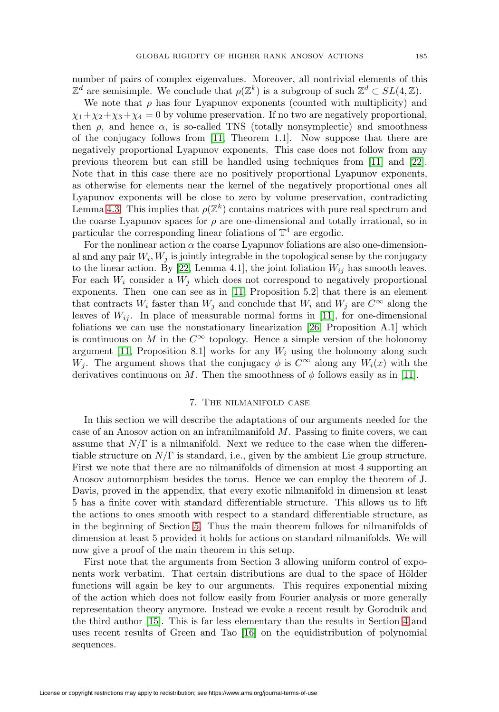number of pairs of complex eigenvalues. Moreover, all nontrivial elements of this  $\mathbb{Z}^d$  are semisimple. We conclude that  $\rho(\mathbb{Z}^k)$  is a subgroup of such  $\mathbb{Z}^d \subset SL(4,\mathbb{Z})$ .

We note that  $\rho$  has four Lyapunov exponents (counted with multiplicity) and  $\chi_1 + \chi_2 + \chi_3 + \chi_4 = 0$  by volume preservation. If no two are negatively proportional, then  $\rho$ , and hence  $\alpha$ , is so-called TNS (totally nonsymplectic) and smoothness of the conjugacy follows from [\[11,](#page-29-0) Theorem 1.1]. Now suppose that there are negatively proportional Lyapunov exponents. This case does not follow from any previous theorem but can still be handled using techniques from [\[11\]](#page-29-0) and [\[22\]](#page-30-6). Note that in this case there are no positively proportional Lyapunov exponents, as otherwise for elements near the kernel of the negatively proportional ones all Lyapunov exponents will be close to zero by volume preservation, contradicting Lemma [4.3.](#page-11-2) This implies that  $\rho(\mathbb{Z}^k)$  contains matrices with pure real spectrum and the coarse Lyapunov spaces for  $\rho$  are one-dimensional and totally irrational, so in particular the corresponding linear foliations of  $\mathbb{T}^4$  are ergodic.

For the nonlinear action  $\alpha$  the coarse Lyapunov foliations are also one-dimensional and any pair  $W_i$ ,  $W_j$  is jointly integrable in the topological sense by the conjugacy to the linear action. By [\[22,](#page-30-6) Lemma 4.1], the joint foliation  $W_{ij}$  has smooth leaves. For each  $W_i$  consider a  $W_j$  which does not correspond to negatively proportional exponents. Then one can see as in [\[11,](#page-29-0) Proposition 5.2] that there is an element that contracts  $W_i$  faster than  $W_j$  and conclude that  $W_i$  and  $W_j$  are  $C^{\infty}$  along the leaves of  $W_{ij}$ . In place of measurable normal forms in [\[11\]](#page-29-0), for one-dimensional foliations we can use the nonstationary linearization [\[26,](#page-30-19) Proposition A.1] which is continuous on M in the  $C^{\infty}$  topology. Hence a simple version of the holonomy argument [\[11,](#page-29-0) Proposition 8.1] works for any  $W_i$  using the holonomy along such  $W_i$ . The argument shows that the conjugacy  $\phi$  is  $C^{\infty}$  along any  $W_i(x)$  with the derivatives continuous on M. Then the smoothness of  $\phi$  follows easily as in [\[11\]](#page-29-0).

## 7. The nilmanifold case

<span id="page-18-0"></span>In this section we will describe the adaptations of our arguments needed for the case of an Anosov action on an infranilmanifold M. Passing to finite covers, we can assume that  $N/\Gamma$  is a nilmanifold. Next we reduce to the case when the differentiable structure on  $N/\Gamma$  is standard, i.e., given by the ambient Lie group structure. First we note that there are no nilmanifolds of dimension at most 4 supporting an Anosov automorphism besides the torus. Hence we can employ the theorem of J. Davis, proved in the appendix, that every exotic nilmanifold in dimension at least 5 has a finite cover with standard differentiable structure. This allows us to lift the actions to ones smooth with respect to a standard differentiable structure, as in the beginning of Section [5.](#page-13-0) Thus the main theorem follows for nilmanifolds of dimension at least 5 provided it holds for actions on standard nilmanifolds. We will now give a proof of the main theorem in this setup.

First note that the arguments from Section 3 allowing uniform control of exponents work verbatim. That certain distributions are dual to the space of Hölder functions will again be key to our arguments. This requires exponential mixing of the action which does not follow easily from Fourier analysis or more generally representation theory anymore. Instead we evoke a recent result by Gorodnik and the third author [\[15\]](#page-30-4). This is far less elementary than the results in Section [4](#page-9-0) and uses recent results of Green and Tao [\[16\]](#page-30-16) on the equidistribution of polynomial sequences.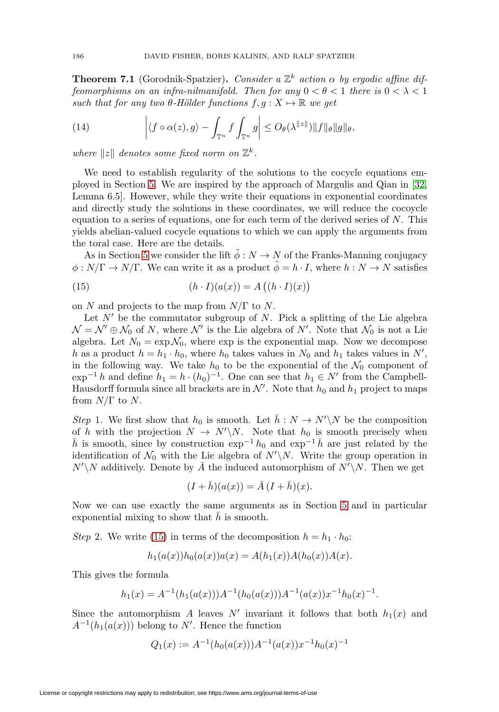**Theorem 7.1** (Gorodnik-Spatzier). Consider a  $\mathbb{Z}^k$  action  $\alpha$  by ergodic affine diffeomorphisms on an infra-nilmanifold. Then for any  $0 < \theta < 1$  there is  $0 < \lambda < 1$ such that for any two  $\theta$ -Hölder functions  $f, g: X \mapsto \mathbb{R}$  we get

(14) 
$$
\left| \langle f \circ \alpha(z), g \rangle - \int_{\mathbb{T}^n} f \int_{\mathbb{T}^n} g \right| \leq O_\theta(\lambda^{\|z\|}) \|f\|_\theta \|g\|_\theta,
$$

where  $||z||$  denotes some fixed norm on  $\mathbb{Z}^k$ .

We need to establish regularity of the solutions to the cocycle equations employed in Section [5.](#page-13-0) We are inspired by the approach of Margulis and Qian in [\[32,](#page-30-2) Lemma 6.5]. However, while they write their equations in exponential coordinates and directly study the solutions in these coordinates, we will reduce the cocoycle equation to a series of equations, one for each term of the derived series of  $N$ . This yields abelian-valued cocycle equations to which we can apply the arguments from the toral case. Here are the details.

As in Section [5](#page-13-0) we consider the lift  $\phi : N \to N$  of the Franks-Manning conjugacy  $\phi: N/\Gamma \to N/\Gamma$ . We can write it as a product  $\phi = h \cdot I$ , where  $h: N \to N$  satisfies

<span id="page-19-0"></span>(15) 
$$
(h \cdot I)(a(x)) = A((h \cdot I)(x))
$$

on N and projects to the map from  $N/\Gamma$  to N.

Let  $N'$  be the commutator subgroup of N. Pick a splitting of the Lie algebra  $\mathcal{N} = \mathcal{N}' \oplus \mathcal{N}_0$  of N, where  $\mathcal{N}'$  is the Lie algebra of N'. Note that  $\mathcal{N}_0$  is not a Lie algebra. Let  $N_0 = \exp N_0$ , where  $\exp$  is the exponential map. Now we decompose h as a product  $h = h_1 \cdot h_0$ , where  $h_0$  takes values in  $N_0$  and  $h_1$  takes values in N', in the following way. We take  $h_0$  to be the exponential of the  $\mathcal{N}_0$  component of  $\exp^{-1}h$  and define  $h_1 = h \cdot (h_0)^{-1}$ . One can see that  $h_1 \in N'$  from the Campbell-Hausdorff formula since all brackets are in  $\mathcal{N}'$ . Note that  $h_0$  and  $h_1$  project to maps from  $N/\Gamma$  to N.

Step 1. We first show that  $h_0$  is smooth. Let  $\bar{h}: N \to N' \backslash N$  be the composition of h with the projection  $N \to N' \backslash N$ . Note that  $h_0$  is smooth precisely when  $\bar{h}$  is smooth, since by construction  $\exp^{-1} h_0$  and  $\exp^{-1} \bar{h}$  are just related by the identification of  $\mathcal{N}_0$  with the Lie algebra of  $N' \backslash N$ . Write the group operation in  $N' \backslash N$  additively. Denote by  $\overline{A}$  the induced automorphism of  $N' \backslash N$ . Then we get

$$
(I + \bar{h})(a(x)) = \bar{A} (I + \bar{h})(x).
$$

Now we can use exactly the same arguments as in Section [5](#page-13-0) and in particular exponential mixing to show that  $\bar{h}$  is smooth.

Step 2. We write [\(15\)](#page-19-0) in terms of the decomposition  $h = h_1 \cdot h_0$ :

$$
h_1(a(x))h_0(a(x))a(x) = A(h_1(x))A(h_0(x))A(x).
$$

This gives the formula

$$
h_1(x) = A^{-1}(h_1(a(x)))A^{-1}(h_0(a(x)))A^{-1}(a(x))x^{-1}h_0(x)^{-1}.
$$

Since the automorphism A leaves N' invariant it follows that both  $h_1(x)$  and  $A^{-1}(h_1(a(x)))$  belong to N'. Hence the function

$$
Q_1(x) := A^{-1}(h_0(a(x)))A^{-1}(a(x))x^{-1}h_0(x)^{-1}
$$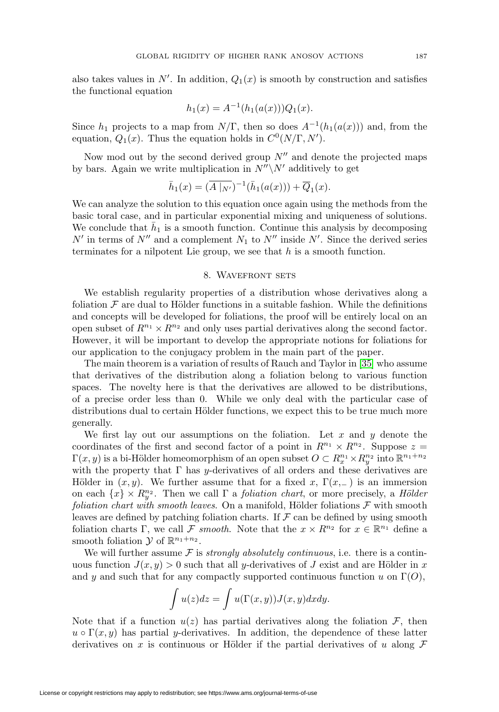also takes values in  $N'$ . In addition,  $Q_1(x)$  is smooth by construction and satisfies the functional equation

$$
h_1(x) = A^{-1}(h_1(a(x)))Q_1(x).
$$

Since  $h_1$  projects to a map from  $N/\Gamma$ , then so does  $A^{-1}(h_1(a(x)))$  and, from the equation,  $Q_1(x)$ . Thus the equation holds in  $C^0(N/\Gamma, N')$ .

Now mod out by the second derived group  $N''$  and denote the projected maps by bars. Again we write multiplication in  $N''\N'$  additively to get

$$
\bar{h}_1(x) = (\overline{A|_{N'}})^{-1}(\bar{h}_1(a(x))) + \overline{Q}_1(x).
$$

We can analyze the solution to this equation once again using the methods from the basic toral case, and in particular exponential mixing and uniqueness of solutions. We conclude that  $\bar{h}_1$  is a smooth function. Continue this analysis by decomposing  $N'$  in terms of  $N''$  and a complement  $N_1$  to  $N''$  inside  $N'$ . Since the derived series terminates for a nilpotent Lie group, we see that  $h$  is a smooth function.

### 8. Wavefront sets

<span id="page-20-0"></span>We establish regularity properties of a distribution whose derivatives along a foliation  $\mathcal F$  are dual to Hölder functions in a suitable fashion. While the definitions and concepts will be developed for foliations, the proof will be entirely local on an open subset of  $R^{n_1} \times R^{n_2}$  and only uses partial derivatives along the second factor. However, it will be important to develop the appropriate notions for foliations for our application to the conjugacy problem in the main part of the paper.

The main theorem is a variation of results of Rauch and Taylor in [\[35\]](#page-30-20) who assume that derivatives of the distribution along a foliation belong to various function spaces. The novelty here is that the derivatives are allowed to be distributions, of a precise order less than 0. While we only deal with the particular case of distributions dual to certain Hölder functions, we expect this to be true much more generally.

We first lay out our assumptions on the foliation. Let  $x$  and  $y$  denote the coordinates of the first and second factor of a point in  $R^{n_1} \times R^{n_2}$ . Suppose  $z =$  $\Gamma(x, y)$  is a bi-Hölder homeomorphism of an open subset  $O \subset R_x^{n_1} \times R_y^{n_2}$  into  $\mathbb{R}^{n_1+n_2}$ with the property that  $\Gamma$  has y-derivatives of all orders and these derivatives are Hölder in  $(x, y)$ . We further assume that for a fixed x,  $\Gamma(x, \_)$  is an immersion on each  $\{x\} \times R_y^{n_2}$ . Then we call  $\Gamma$  a *foliation chart*, or more precisely, a *Hölder* foliation chart with smooth leaves. On a manifold, Hölder foliations  $\mathcal F$  with smooth leaves are defined by patching foliation charts. If  $\mathcal F$  can be defined by using smooth foliation charts Γ, we call F smooth. Note that the  $x \times R^{n_2}$  for  $x \in \mathbb{R}^{n_1}$  define a smooth foliation  $\mathcal Y$  of  $\mathbb{R}^{n_1+n_2}$ .

We will further assume  $\mathcal F$  is *strongly absolutely continuous*, i.e. there is a continuous function  $J(x, y) > 0$  such that all y-derivatives of J exist and are Hölder in x and y and such that for any compactly supported continuous function u on  $\Gamma(O)$ ,

$$
\int u(z)dz = \int u(\Gamma(x,y))J(x,y)dxdy.
$$

Note that if a function  $u(z)$  has partial derivatives along the foliation  $\mathcal{F}$ , then  $u \circ \Gamma(x, y)$  has partial y-derivatives. In addition, the dependence of these latter derivatives on x is continuous or Hölder if the partial derivatives of u along  $\mathcal F$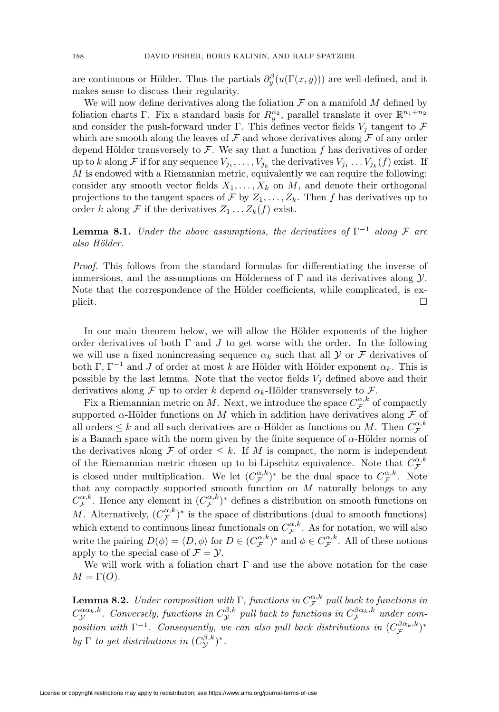are continuous or Hölder. Thus the partials  $\partial_y^{\beta}(u(\Gamma(x,y)))$  are well-defined, and it makes sense to discuss their regularity.

We will now define derivatives along the foliation  $\mathcal F$  on a manifold  $M$  defined by foliation charts Γ. Fix a standard basis for  $R_y^{n_2}$ , parallel translate it over  $\mathbb{R}^{n_1+n_2}$ and consider the push-forward under Γ. This defines vector fields  $V_i$  tangent to  $\mathcal F$ which are smooth along the leaves of  $\mathcal F$  and whose derivatives along  $\mathcal F$  of any order depend Hölder transversely to  $\mathcal F$ . We say that a function f has derivatives of order up to k along F if for any sequence  $V_{j_1}, \ldots, V_{j_k}$  the derivatives  $V_{j_1} \ldots V_{j_k} (f)$  exist. If  $M$  is endowed with a Riemannian metric, equivalently we can require the following: consider any smooth vector fields  $X_1, \ldots, X_k$  on M, and denote their orthogonal projections to the tangent spaces of F by  $Z_1, \ldots, Z_k$ . Then f has derivatives up to order k along F if the derivatives  $Z_1 \ldots Z_k(f)$  exist.

**Lemma 8.1.** Under the above assumptions, the derivatives of  $\Gamma^{-1}$  along F are also Hölder.

Proof. This follows from the standard formulas for differentiating the inverse of immersions, and the assumptions on Hölderness of  $\Gamma$  and its derivatives along  $\mathcal{Y}$ . Note that the correspondence of the Hölder coefficients, while complicated, is explicit.  $\Box$ 

In our main theorem below, we will allow the Hölder exponents of the higher order derivatives of both  $\Gamma$  and  $J$  to get worse with the order. In the following we will use a fixed nonincreasing sequence  $\alpha_k$  such that all  $\mathcal Y$  or  $\mathcal F$  derivatives of both Γ,  $\Gamma$ <sup>-1</sup> and *J* of order at most *k* are Hölder with Hölder exponent  $\alpha_k$ . This is possible by the last lemma. Note that the vector fields  $V_j$  defined above and their derivatives along F up to order k depend  $\alpha_k$ -Hölder transversely to F.

Fix a Riemannian metric on M. Next, we introduce the space  $C_{\mathcal{F}}^{\alpha,k}$  of compactly supported  $\alpha$ -Hölder functions on M which in addition have derivatives along F of all orders  $\leq k$  and all such derivatives are  $\alpha$ -Hölder as functions on M. Then  $C^{\alpha,k}_{\mathcal{F}}$ is a Banach space with the norm given by the finite sequence of  $\alpha$ -Hölder norms of the derivatives along F of order  $\leq k$ . If M is compact, the norm is independent of the Riemannian metric chosen up to bi-Lipschitz equivalence. Note that  $C_{\mathcal{F}}^{\alpha,k}$ is closed under multiplication. We let  $(C_{\mathcal{F}}^{\alpha,k})^*$  be the dual space to  $C_{\mathcal{F}}^{\alpha,k}$ . Note that any compactly supported smooth function on M naturally belongs to any  $C_{\mathcal{F}}^{\alpha,k}$ . Hence any element in  $(C_{\mathcal{F}}^{\alpha,k})^*$  defines a distribution on smooth functions on M. Alternatively,  $(C_{\mathcal{F}}^{\alpha,k})^*$  is the space of distributions (dual to smooth functions) which extend to continuous linear functionals on  $C_{\mathcal{F}}^{\alpha,k}$ . As for notation, we will also write the pairing  $D(\phi) = \langle D, \phi \rangle$  for  $D \in (C_{\mathcal{F}}^{\alpha,k})^*$  and  $\phi \in C_{\mathcal{F}}^{\alpha,k}$ . All of these notions apply to the special case of  $\mathcal{F} = \mathcal{Y}$ .

We will work with a foliation chart  $\Gamma$  and use the above notation for the case  $M = \Gamma(O)$ .

<span id="page-21-0"></span>**Lemma 8.2.** Under composition with  $\Gamma$ , functions in  $C_{\mathcal{F}}^{\alpha,k}$  pull back to functions in  $C^{\alpha\alpha_k,k}_\mathcal{Y}$ . Conversely, functions in  $C^{\beta,k}_\mathcal{Y}$  pull back to functions in  $C^{\beta\alpha_k,k}_\mathcal{F}$  under composition with  $\Gamma^{-1}$ . Consequently, we can also pull back distributions in  $(C_{\mathcal{F}}^{\beta\alpha_k,k})^*$ by  $\Gamma$  to get distributions in  $(C^{\beta,k}_\mathcal{Y})^*$ .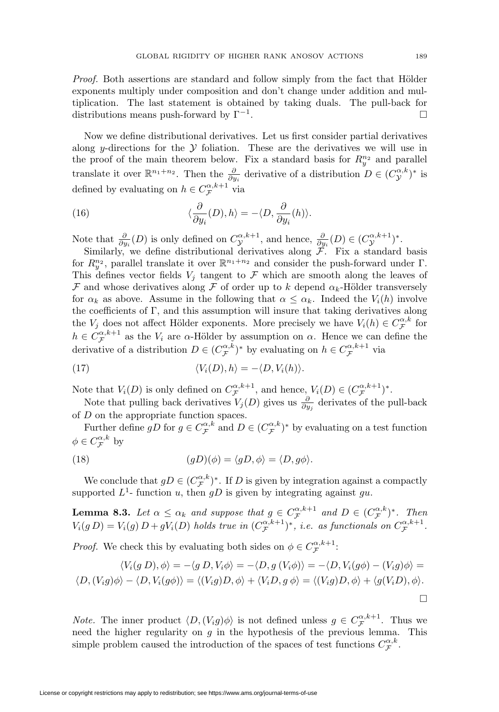Proof. Both assertions are standard and follow simply from the fact that Hölder exponents multiply under composition and don't change under addition and multiplication. The last statement is obtained by taking duals. The pull-back for distributions means push-forward by  $\Gamma^{-1}$ .  $\Box$ 

Now we define distributional derivatives. Let us first consider partial derivatives along y-directions for the  $Y$  foliation. These are the derivatives we will use in the proof of the main theorem below. Fix a standard basis for  $R_y^{n_2}$  and parallel translate it over  $\mathbb{R}^{n_1+n_2}$ . Then the  $\frac{\partial}{\partial y_i}$  derivative of a distribution  $D \in (C^{\alpha,k}_{\mathcal{Y}})^*$  is defined by evaluating on  $h \in C_{\mathcal{F}}^{\alpha,k+1}$  via

<span id="page-22-0"></span>(16) 
$$
\langle \frac{\partial}{\partial y_i}(D), h \rangle = -\langle D, \frac{\partial}{\partial y_i}(h) \rangle.
$$

Note that  $\frac{\partial}{\partial y_i}(D)$  is only defined on  $C_{\mathcal{Y}}^{\alpha,k+1}$ , and hence,  $\frac{\partial}{\partial y_i}(D) \in (C_{\mathcal{Y}}^{\alpha,k+1})^*$ .

Similarly, we define distributional derivatives along  $\mathcal{F}$ . Fix a standard basis for  $R_{y}^{n_2}$ , parallel translate it over  $\mathbb{R}^{n_1+n_2}$  and consider the push-forward under  $\Gamma$ . This defines vector fields  $V_i$  tangent to  $\mathcal F$  which are smooth along the leaves of F and whose derivatives along F of order up to k depend  $\alpha_k$ -Hölder transversely for  $\alpha_k$  as above. Assume in the following that  $\alpha \leq \alpha_k$ . Indeed the  $V_i(h)$  involve the coefficients of Γ, and this assumption will insure that taking derivatives along the  $V_j$  does not affect Hölder exponents. More precisely we have  $V_i(h) \in C_{\mathcal{F}}^{\alpha,k}$  for  $h \in C_{\mathcal{F}}^{\alpha, k+1}$  as the  $V_i$  are  $\alpha$ -Hölder by assumption on  $\alpha$ . Hence we can define the derivative of a distribution  $D \in (C_{\mathcal{F}}^{\alpha,k})^*$  by evaluating on  $h \in C_{\mathcal{F}}^{\alpha,k+1}$  via

(17) 
$$
\langle V_i(D), h \rangle = -\langle D, V_i(h) \rangle.
$$

Note that  $V_i(D)$  is only defined on  $C_{\mathcal{F}}^{\alpha,k+1}$ , and hence,  $V_i(D) \in (C_{\mathcal{F}}^{\alpha,k+1})^*$ .

Note that pulling back derivatives  $V_j(D)$  gives us  $\frac{\partial}{\partial y_j}$  derivates of the pull-back of D on the appropriate function spaces.

Further define  $gD$  for  $g \in C_{\mathcal{F}}^{\alpha,k}$  and  $D \in (C_{\mathcal{F}}^{\alpha,k})^*$  by evaluating on a test function  $\phi \in C_{\mathcal{F}}^{\alpha,k}$  by

<span id="page-22-1"></span>(18) 
$$
(gD)(\phi) = \langle gD, \phi \rangle = \langle D, g\phi \rangle.
$$

We conclude that  $gD \in (C_{\mathcal{F}}^{\alpha,k})^*$ . If D is given by integration against a compactly supported  $L^1$ - function u, then gD is given by integrating against gu.

<span id="page-22-2"></span>**Lemma 8.3.** Let  $\alpha \leq \alpha_k$  and suppose that  $g \in C_{\mathcal{F}}^{\alpha,k+1}$  and  $D \in (C_{\mathcal{F}}^{\alpha,k})^*$ . Then  $V_i(g D) = V_i(g) D + g V_i(D)$  holds true in  $(C_{\mathcal{F}}^{\alpha,k+1})^*$ , i.e. as functionals on  $C_{\mathcal{F}}^{\alpha,k+1}$ .

*Proof.* We check this by evaluating both sides on  $\phi \in C_{\mathcal{F}}^{\alpha,k+1}$ :

$$
\langle V_i(g D), \phi \rangle = -\langle g D, V_i \phi \rangle = -\langle D, g (V_i \phi) \rangle = -\langle D, V_i(g\phi) - (V_i g)\phi \rangle =
$$
  

$$
\langle D, (V_i g)\phi \rangle - \langle D, V_i(g\phi) \rangle = \langle (V_i g)D, \phi \rangle + \langle V_i D, g \phi \rangle = \langle (V_i g)D, \phi \rangle + \langle g(V_i D), \phi \rangle.
$$

*Note.* The inner product  $\langle D, (V_i g) \phi \rangle$  is not defined unless  $g \in C_{\mathcal{F}}^{\alpha, k+1}$ . Thus we need the higher regularity on  $g$  in the hypothesis of the previous lemma. This simple problem caused the introduction of the spaces of test functions  $C_{\mathcal{F}}^{\alpha,k}$ .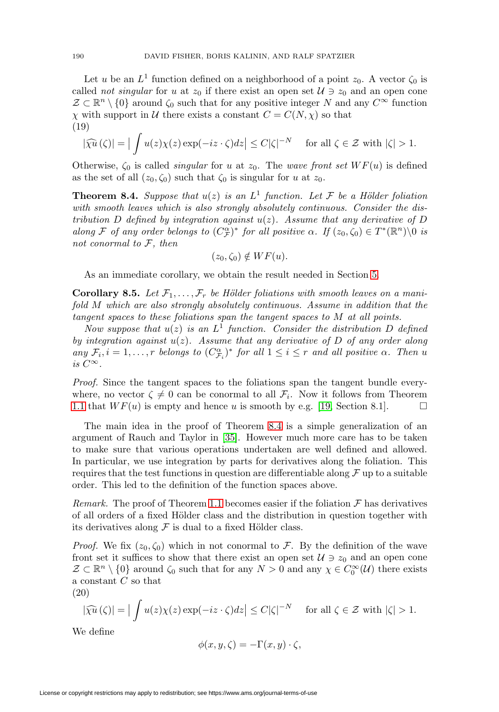Let u be an  $L^1$  function defined on a neighborhood of a point  $z_0$ . A vector  $\zeta_0$  is called *not singular* for u at  $z_0$  if there exist an open set  $\mathcal{U} \ni z_0$  and an open cone  $\mathcal{Z} \subset \mathbb{R}^n \setminus \{0\}$  around  $\zeta_0$  such that for any positive integer N and any  $C^{\infty}$  function  $\chi$  with support in U there exists a constant  $C = C(N, \chi)$  so that (19)

$$
|\widehat{\chi u}(\zeta)| = |\int u(z)\chi(z)\exp(-iz\cdot\zeta)dz| \le C|\zeta|^{-N} \quad \text{ for all } \zeta \in \mathcal{Z} \text{ with } |\zeta| > 1.
$$

Otherwise,  $\zeta_0$  is called *singular* for u at  $z_0$ . The wave front set  $WF(u)$  is defined as the set of all  $(z_0, \zeta_0)$  such that  $\zeta_0$  is singular for u at  $z_0$ .

<span id="page-23-1"></span>**Theorem 8.4.** Suppose that  $u(z)$  is an  $L^1$  function. Let F be a Hölder foliation with smooth leaves which is also strongly absolutely continuous. Consider the distribution D defined by integration against  $u(z)$ . Assume that any derivative of D along F of any order belongs to  $(C_F^{\alpha})^*$  for all positive  $\alpha$ . If  $(z_0, \zeta_0) \in T^*(\mathbb{R}^n) \setminus 0$  is not conormal to  $F$ , then

$$
(z_0,\zeta_0)\notin WF(u).
$$

As an immediate corollary, we obtain the result needed in Section [5.](#page-13-0)

<span id="page-23-0"></span>**Corollary 8.5.** Let  $\mathcal{F}_1, \ldots, \mathcal{F}_r$  be Hölder foliations with smooth leaves on a manifold M which are also strongly absolutely continuous. Assume in addition that the tangent spaces to these foliations span the tangent spaces to M at all points.

Now suppose that  $u(z)$  is an  $L^1$  function. Consider the distribution D defined by integration against  $u(z)$ . Assume that any derivative of D of any order along any  $\mathcal{F}_i$ ,  $i = 1, \ldots, r$  belongs to  $(C_{\mathcal{F}_i}^{\alpha})^*$  for all  $1 \leq i \leq r$  and all positive  $\alpha$ . Then u is  $C^{\infty}$ .

Proof. Since the tangent spaces to the foliations span the tangent bundle everywhere, no vector  $\zeta \neq 0$  can be conormal to all  $\mathcal{F}_i$ . Now it follows from Theorem [1.1](#page-0-0) that  $WF(u)$  is empty and hence u is smooth by e.g. [\[19,](#page-30-21) Section 8.1].  $\Box$ 

The main idea in the proof of Theorem [8.4](#page-23-1) is a simple generalization of an argument of Rauch and Taylor in [\[35\]](#page-30-20). However much more care has to be taken to make sure that various operations undertaken are well defined and allowed. In particular, we use integration by parts for derivatives along the foliation. This requires that the test functions in question are differentiable along  $\mathcal F$  up to a suitable order. This led to the definition of the function spaces above.

Remark. The proof of Theorem [1.1](#page-0-0) becomes easier if the foliation  $\mathcal F$  has derivatives of all orders of a fixed Hölder class and the distribution in question together with its derivatives along  $\mathcal F$  is dual to a fixed Hölder class.

*Proof.* We fix  $(z_0, \zeta_0)$  which in not conormal to F. By the definition of the wave front set it suffices to show that there exist an open set  $\mathcal{U} \ni z_0$  and an open cone  $\mathcal{Z} \subset \mathbb{R}^n \setminus \{0\}$  around  $\zeta_0$  such that for any  $N > 0$  and any  $\chi \in C_0^{\infty}(\mathcal{U})$  there exists a constant C so that

<span id="page-23-2"></span>(20)

$$
|\widehat{\chi u}(\zeta)| = |\int u(z)\chi(z) \exp(-iz \cdot \zeta) dz| \le C|\zeta|^{-N} \quad \text{ for all } \zeta \in \mathcal{Z} \text{ with } |\zeta| > 1.
$$

We define

$$
\phi(x, y, \zeta) = -\Gamma(x, y) \cdot \zeta,
$$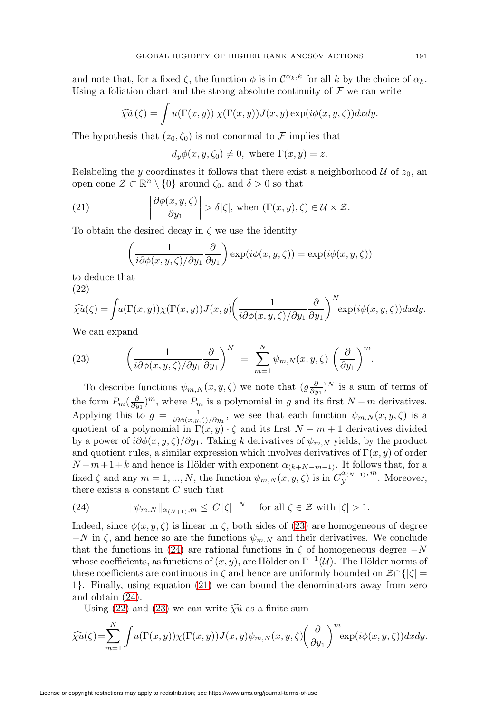and note that, for a fixed  $\zeta$ , the function  $\phi$  is in  $\mathcal{C}^{\alpha_k,k}$  for all k by the choice of  $\alpha_k$ . Using a foliation chart and the strong absolute continuity of  $\mathcal F$  we can write

$$
\widehat{\chi u}(\zeta) = \int u(\Gamma(x, y)) \, \chi(\Gamma(x, y)) J(x, y) \exp(i\phi(x, y, \zeta)) dx dy.
$$

The hypothesis that  $(z_0, \zeta_0)$  is not conormal to F implies that

 $d_u \phi(x, y, \zeta_0) \neq 0$ , where  $\Gamma(x, y) = z$ .

Relabeling the y coordinates it follows that there exist a neighborhood  $U$  of  $z_0$ , an open cone  $\mathcal{Z} \subset \mathbb{R}^n \setminus \{0\}$  around  $\zeta_0$ , and  $\delta > 0$  so that

<span id="page-24-2"></span>(21) 
$$
\left|\frac{\partial \phi(x, y, \zeta)}{\partial y_1}\right| > \delta |\zeta|, \text{ when } (\Gamma(x, y), \zeta) \in \mathcal{U} \times \mathcal{Z}.
$$

To obtain the desired decay in  $\zeta$  we use the identity

$$
\left(\frac{1}{i\partial\phi(x,y,\zeta)/\partial y_1}\frac{\partial}{\partial y_1}\right)\exp(i\phi(x,y,\zeta))=\exp(i\phi(x,y,\zeta))
$$

to deduce that

<span id="page-24-3"></span>(22)

$$
\widehat{\chi u}(\zeta) = \int u(\Gamma(x, y)) \chi(\Gamma(x, y)) J(x, y) \left( \frac{1}{i \partial \phi(x, y, \zeta) / \partial y_1} \frac{\partial}{\partial y_1} \right)^N \exp(i \phi(x, y, \zeta)) dx dy.
$$

We can expand

<span id="page-24-0"></span>(23) 
$$
\left(\frac{1}{i\partial\phi(x,y,\zeta)/\partial y_1}\frac{\partial}{\partial y_1}\right)^N = \sum_{m=1}^N \psi_{m,N}(x,y,\zeta) \left(\frac{\partial}{\partial y_1}\right)^m.
$$

To describe functions  $\psi_{m,N}(x,y,\zeta)$  we note that  $(g\frac{\partial}{\partial y_1})^N$  is a sum of terms of the form  $P_m(\frac{\partial}{\partial y_1})^m$ , where  $P_m$  is a polynomial in g and its first  $N-m$  derivatives. Applying this to  $g = \frac{1}{i\partial\phi(x,y,\zeta)/\partial y_1}$ , we see that each function  $\psi_{m,N}(x,y,\zeta)$  is a quotient of a polynomial in  $\Gamma(x, y) \cdot \zeta$  and its first  $N - m + 1$  derivatives divided by a power of  $i\partial\phi(x, y, \zeta)/\partial y_1$ . Taking k derivatives of  $\psi_{m,N}$  yields, by the product and quotient rules, a similar expression which involves derivatives of  $\Gamma(x, y)$  of order  $N-m+1+k$  and hence is Hölder with exponent  $\alpha_{(k+N-m+1)}$ . It follows that, for a fixed  $\zeta$  and any  $m = 1, ..., N$ , the function  $\psi_{m,N}(x, y, \zeta)$  is in  $C_{\mathcal{Y}}^{\alpha_{(N+1)}, m}$ . Moreover, there exists a constant  $C$  such that

<span id="page-24-1"></span>(24) 
$$
\|\psi_{m,N}\|_{\alpha_{(N+1)},m} \leq C |\zeta|^{-N} \quad \text{for all } \zeta \in \mathcal{Z} \text{ with } |\zeta| > 1.
$$

Indeed, since  $\phi(x, y, \zeta)$  is linear in  $\zeta$ , both sides of [\(23\)](#page-24-0) are homogeneous of degree  $-N$  in  $\zeta$ , and hence so are the functions  $\psi_{m,N}$  and their derivatives. We conclude that the functions in [\(24\)](#page-24-1) are rational functions in  $\zeta$  of homogeneous degree  $-N$ whose coefficients, as functions of  $(x, y)$ , are Hölder on  $\Gamma^{-1}(\mathcal{U})$ . The Hölder norms of these coefficients are continuous in  $\zeta$  and hence are uniformly bounded on  $\mathcal{Z} \cap \{ |\zeta| = \zeta \}$ 1}. Finally, using equation [\(21\)](#page-24-2) we can bound the denominators away from zero and obtain [\(24\)](#page-24-1).

Using [\(22\)](#page-24-3) and [\(23\)](#page-24-0) we can write  $\widehat{\chi} \widehat{u}$  as a finite sum

$$
\widehat{\chi u}(\zeta) = \sum_{m=1}^{N} \int u(\Gamma(x, y)) \chi(\Gamma(x, y)) J(x, y) \psi_{m,N}(x, y, \zeta) \left(\frac{\partial}{\partial y_1}\right)^m \exp(i\phi(x, y, \zeta)) dx dy.
$$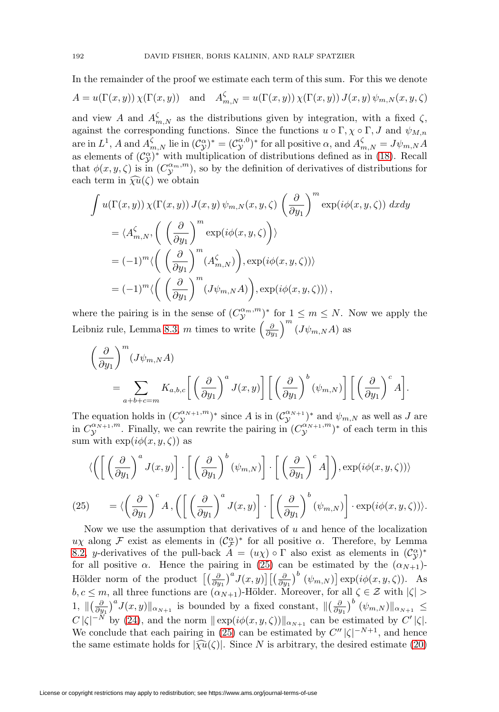In the remainder of the proof we estimate each term of this sum. For this we denote

$$
A = u(\Gamma(x, y)) \chi(\Gamma(x, y)) \text{ and } A_{m,N}^{\zeta} = u(\Gamma(x, y)) \chi(\Gamma(x, y)) J(x, y) \psi_{m,N}(x, y, \zeta)
$$

and view A and  $A_{m,N}^{\zeta}$  as the distributions given by integration, with a fixed  $\zeta$ , against the corresponding functions. Since the functions  $u \circ \Gamma, \chi \circ \Gamma, J$  and  $\psi_{M,n}$ are in  $L^1$ , A and  $A_{m,N}^{\zeta}$  lie in  $(\mathcal{C}_{\mathcal{Y}}^{\alpha})^* = (\mathcal{C}_{\mathcal{Y}}^{\alpha,0})^*$  for all positive  $\alpha$ , and  $A_{m,N}^{\zeta} = J\psi_{m,N}A$ as elements of  $(\mathcal{C}^{\alpha}_{\mathcal{Y}})^*$  with multiplication of distributions defined as in [\(18\)](#page-22-1). Recall that  $\phi(x, y, \zeta)$  is in  $(C_{\mathcal{Y}}^{\alpha_m, m})$ , so by the definition of derivatives of distributions for each term in  $\widehat{\chi u}(\zeta)$  we obtain

$$
\int u(\Gamma(x, y)) \chi(\Gamma(x, y)) J(x, y) \psi_{m,N}(x, y, \zeta) \left(\frac{\partial}{\partial y_1}\right)^m \exp(i\phi(x, y, \zeta)) dxdy
$$
  
\n
$$
= \langle A_{m,N}^{\zeta}, \left( \left(\frac{\partial}{\partial y_1}\right)^m \exp(i\phi(x, y, \zeta)) \right) \rangle
$$
  
\n
$$
= (-1)^m \langle \left( \left(\frac{\partial}{\partial y_1}\right)^m (A_{m,N}^{\zeta}) \right), \exp(i\phi(x, y, \zeta)) \rangle
$$
  
\n
$$
= (-1)^m \langle \left( \left(\frac{\partial}{\partial y_1}\right)^m (J\psi_{m,N}A) \right), \exp(i\phi(x, y, \zeta)) \rangle,
$$

where the pairing is in the sense of  $(C_{\mathcal{Y}}^{\alpha_m,m})^*$  for  $1 \leq m \leq N$ . Now we apply the Leibniz rule, Lemma [8.3,](#page-22-2) m times to write  $\left(\frac{\partial}{\partial y_1}\right)$  $\Big)^{m}$   $(J\psi_{m,N}A)$  as

$$
\left(\frac{\partial}{\partial y_1}\right)^m (J\psi_{m,N}A)
$$
  
= 
$$
\sum_{a+b+c=m} K_{a,b,c} \left[ \left(\frac{\partial}{\partial y_1}\right)^a J(x,y) \right] \left[ \left(\frac{\partial}{\partial y_1}\right)^b (\psi_{m,N}) \right] \left[ \left(\frac{\partial}{\partial y_1}\right)^c A \right].
$$

The equation holds in  $(C^{\alpha_{N+1},m}_{\mathcal{Y}})^*$  since A is in  $(C^{\alpha_{N+1}}_{\mathcal{Y}})^*$  and  $\psi_{m,N}$  as well as J are in  $C_{\mathcal{Y}}^{\alpha_{N+1},m}$ . Finally, we can rewrite the pairing in  $(C_{\mathcal{Y}}^{\alpha_{N+1},m})^*$  of each term in this sum with  $\exp(i\phi(x, y, \zeta))$  as

$$
\langle \left( \left[ \left( \frac{\partial}{\partial y_1} \right)^a J(x, y) \right] \cdot \left[ \left( \frac{\partial}{\partial y_1} \right)^b (\psi_{m, N}) \right] \cdot \left[ \left( \frac{\partial}{\partial y_1} \right)^c A \right] \right), \exp(i\phi(x, y, \zeta)) \rangle
$$
  
(25) 
$$
= \langle \left( \frac{\partial}{\partial y_1} \right)^c A, \left( \left[ \left( \frac{\partial}{\partial y_1} \right)^a J(x, y) \right] \cdot \left[ \left( \frac{\partial}{\partial y_1} \right)^b (\psi_{m, N}) \right] \cdot \exp(i\phi(x, y, \zeta)) \rangle.
$$

<span id="page-25-0"></span>Now we use the assumption that derivatives of  $u$  and hence of the localization  $u\chi$  along F exist as elements in  $(\mathcal{C}_{\mathcal{F}}^{\alpha})^*$  for all positive  $\alpha$ . Therefore, by Lemma [8.2,](#page-21-0) y-derivatives of the pull-back  $\hat{A} = (u\chi) \circ \Gamma$  also exist as elements in  $(\mathcal{C}^{\alpha}_{\mathcal{Y}})^*$ for all positive  $\alpha$ . Hence the pairing in [\(25\)](#page-25-0) can be estimated by the  $(\alpha_{N+1})$ -Hölder norm of the product  $\left[\left(\frac{\partial}{\partial y_1}\right)^a J(x,y)\right] \left[\left(\frac{\partial}{\partial y_1}\right)^b (\psi_{m,N})\right] \exp(i\phi(x,y,\zeta)).$  As  $b, c \leq m$ , all three functions are  $(\alpha_{N+1})$ -Hölder. Moreover, for all  $\zeta \in \mathcal{Z}$  with  $|\zeta| >$ 1,  $\|\left(\frac{\partial}{\partial y_1}\right)^a J(x,y)\|_{\alpha_{N+1}}$  is bounded by a fixed constant,  $\|\left(\frac{\partial}{\partial y_1}\right)^b (\psi_{m,N})\|_{\alpha_{N+1}} \leq$  $C |\zeta|^{-N}$  by [\(24\)](#page-24-1), and the norm  $\|\exp(i\phi(x, y, \zeta))\|_{\alpha_{N+1}}$  can be estimated by  $C' |\zeta|$ . We conclude that each pairing in [\(25\)](#page-25-0) can be estimated by  $C'' |\zeta|^{-N+1}$ , and hence the same estimate holds for  $|\widehat{\chi u}(\zeta)|$ . Since N is arbitrary, the desired estimate [\(20\)](#page-23-2)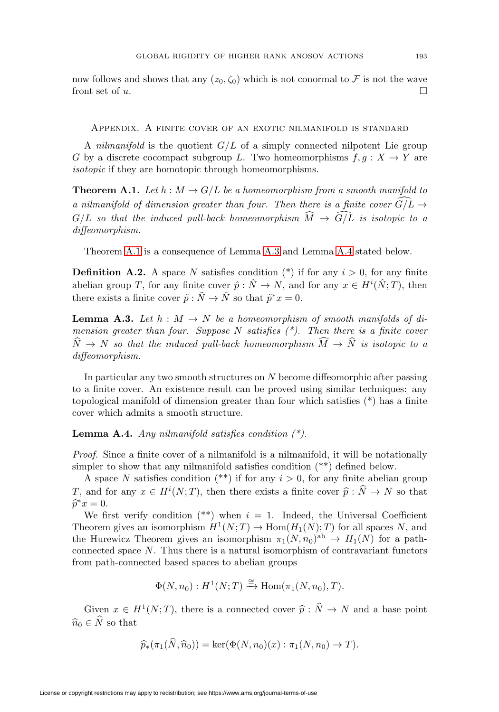now follows and shows that any  $(z_0, \zeta_0)$  which is not conormal to F is not the wave front set of u.

Appendix. A finite cover of an exotic nilmanifold is standard

A *nilmanifold* is the quotient  $G/L$  of a simply connected nilpotent Lie group G by a discrete cocompact subgroup L. Two homeomorphisms  $f, g: X \to Y$  are isotopic if they are homotopic through homeomorphisms.

<span id="page-26-0"></span>**Theorem A.1.** Let  $h : M \to G/L$  be a homeomorphism from a smooth manifold to a nilmanifold of dimension greater than four. Then there is a finite cover  $G/L \rightarrow$  $G/L$  so that the induced pull-back homeomorphism  $M \rightarrow G/L$  is isotopic to a diffeomorphism.

Theorem [A.1](#page-26-0) is a consequence of Lemma [A.3](#page-26-1) and Lemma [A.4](#page-26-2) stated below.

**Definition A.2.** A space N satisfies condition  $(*)$  if for any  $i > 0$ , for any finite abelian group T, for any finite cover  $\hat{p}$ :  $\hat{N} \to N$ , and for any  $x \in H^{i}(\hat{N};T)$ , then there exists a finite cover  $\tilde{p} : \tilde{N} \to \hat{N}$  so that  $\tilde{p}^*x = 0$ .

<span id="page-26-1"></span>**Lemma A.3.** Let  $h : M \to N$  be a homeomorphism of smooth manifolds of dimension greater than four. Suppose N satisfies  $(*)$ . Then there is a finite cover  $N \rightarrow N$  so that the induced pull-back homeomorphism  $M \rightarrow N$  is isotopic to a diffeomorphism.

In particular any two smooth structures on N become diffeomorphic after passing to a finite cover. An existence result can be proved using similar techniques: any topological manifold of dimension greater than four which satisfies (\*) has a finite cover which admits a smooth structure.

<span id="page-26-2"></span>**Lemma A.4.** Any nilmanifold satisfies condition  $(*)$ .

Proof. Since a finite cover of a nilmanifold is a nilmanifold, it will be notationally simpler to show that any nilmanifold satisfies condition (\*\*) defined below.

A space N satisfies condition  $(**)$  if for any  $i > 0$ , for any finite abelian group T, and for any  $x \in H^i(N;T)$ , then there exists a finite cover  $\hat{p} : \hat{N} \to N$  so that  $\widehat{p}^*x=0.$ 

We first verify condition  $(**)$  when  $i = 1$ . Indeed, the Universal Coefficient Theorem gives an isomorphism  $H^1(N;T) \to \text{Hom}(H_1(N);T)$  for all spaces N, and the Hurewicz Theorem gives an isomorphism  $\pi_1(N,n_0)^{ab} \to H_1(N)$  for a pathconnected space N. Thus there is a natural isomorphism of contravariant functors from path-connected based spaces to abelian groups

$$
\Phi(N, n_0) : H^1(N;T) \xrightarrow{\cong} \text{Hom}(\pi_1(N, n_0), T).
$$

Given  $x \in H^1(N;T)$ , there is a connected cover  $\hat{p} : \hat{N} \to N$  and a base point  $\widehat{n}_0 \in \widehat{N}$  so that

$$
\widehat{p}_*(\pi_1(N, \widehat{n}_0)) = \ker(\Phi(N, n_0)(x) : \pi_1(N, n_0) \to T).
$$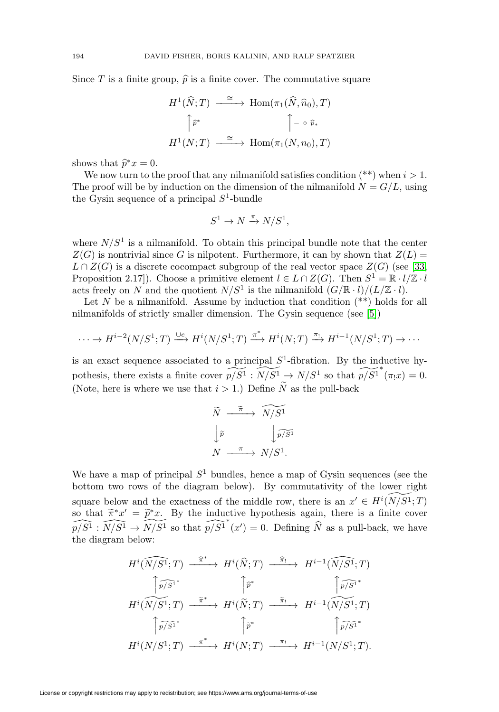Since T is a finite group,  $\hat{p}$  is a finite cover. The commutative square

$$
H^{1}(\widehat{N};T) \xrightarrow{\cong} \text{Hom}(\pi_{1}(\widehat{N},\widehat{n}_{0}),T)
$$

$$
\uparrow \widehat{p}^{*} \qquad \qquad \uparrow - \circ \widehat{p}_{*}
$$

$$
H^{1}(N;T) \xrightarrow{\cong} \text{Hom}(\pi_{1}(N,n_{0}),T)
$$

shows that  $\hat{p}^*x = 0$ .

We now turn to the proof that any nilmanifold satisfies condition  $(**)$  when  $i > 1$ . The proof will be by induction on the dimension of the nilmanifold  $N = G/L$ , using the Gysin sequence of a principal  $S^1$ -bundle

$$
S^1 \to N \xrightarrow{\pi} N/S^1,
$$

where  $N/S<sup>1</sup>$  is a nilmanifold. To obtain this principal bundle note that the center  $Z(G)$  is nontrivial since G is nilpotent. Furthermore, it can by shown that  $Z(L)$  =  $L \cap Z(G)$  is a discrete cocompact subgroup of the real vector space  $Z(G)$  (see [\[33,](#page-30-22) Proposition 2.17]). Choose a primitive element  $l \in L \cap Z(G)$ . Then  $S^1 = \mathbb{R} \cdot l / \mathbb{Z} \cdot l$ acts freely on N and the quotient  $N/S^1$  is the nilmanifold  $(G/\mathbb{R} \cdot l)/(L/\mathbb{Z} \cdot l)$ .

Let  $N$  be a nilmanifold. Assume by induction that condition  $(**)$  holds for all nilmanifolds of strictly smaller dimension. The Gysin sequence (see [\[5\]](#page-29-11))

$$
\cdots \to H^{i-2}(N/S^1;T) \xrightarrow{\cup e} H^i(N/S^1;T) \xrightarrow{\pi^*} H^i(N;T) \xrightarrow{\pi_!} H^{i-1}(N/S^1;T) \to \cdots
$$

is an exact sequence associated to a principal  $S<sup>1</sup>$ -fibration. By the inductive hypothesis, there exists a finite cover  $\widehat{p/S^1}: \widetilde{N/S^1} \to N/S^1$  so that  $\widehat{p/S^1}^*(\pi_!x) = 0$ . (Note, here is where we use that  $i > 1$ .) Define N as the pull-back<br> $\widetilde{N} \xrightarrow{\widetilde{\pi}} \widetilde{N/S^1}$ 

$$
\widetilde{N} \xrightarrow{\widetilde{\pi}} \widetilde{N/S^1}
$$
\n
$$
\downarrow \widetilde{p} \qquad \qquad \downarrow \widetilde{p/S^1}
$$
\n
$$
N \xrightarrow{\pi} N/S^1.
$$

We have a map of principal  $S<sup>1</sup>$  bundles, hence a map of Gysin sequences (see the bottom two rows of the diagram below). By commutativity of the lower right square below and the exactness of the middle row, there is an  $x' \in H^{i}(\widetilde{N/S^1};T)$ so that  $\tilde{\pi}^*x' = \tilde{p}^*x$ . By the inductive hypothesis again, there is a finite cover  $\widehat{p/S^1}: \widehat{N/S^1} \to \widetilde{N/S^1}$  so that  $\widehat{p/S^1}^*(x') = 0$ . Defining  $\widehat{N}$  as a pull-back, we have the diagram below:

below:  
\n
$$
H^{i}(\widehat{N/S^{1}};T) \xrightarrow{\widehat{\pi}^{*}} H^{i}(\widehat{N};T) \xrightarrow{\widehat{\pi}_{!}} H^{i-1}(\widehat{N/S^{1}};T)
$$
\n
$$
\uparrow \widehat{p/S^{1}}^{*} \qquad \uparrow \widehat{p}^{*} \qquad \uparrow \widehat{p/S^{1}}^{*}
$$
\n
$$
H^{i}(\widehat{N/S^{1}};T) \xrightarrow{\widetilde{\pi}^{*}} H^{i}(\widetilde{N};T) \xrightarrow{\widetilde{\pi}_{!}} H^{i-1}(\widehat{N/S^{1}};T)
$$
\n
$$
\uparrow \widehat{p/S^{1}}^{*} \qquad \uparrow \widehat{p}^{*} \qquad \uparrow \widehat{p/S^{1}}^{*}
$$
\n
$$
H^{i}(N/S^{1};T) \xrightarrow{\pi^{*}} H^{i}(N;T) \xrightarrow{\pi_{!}} H^{i-1}(N/S^{1};T).
$$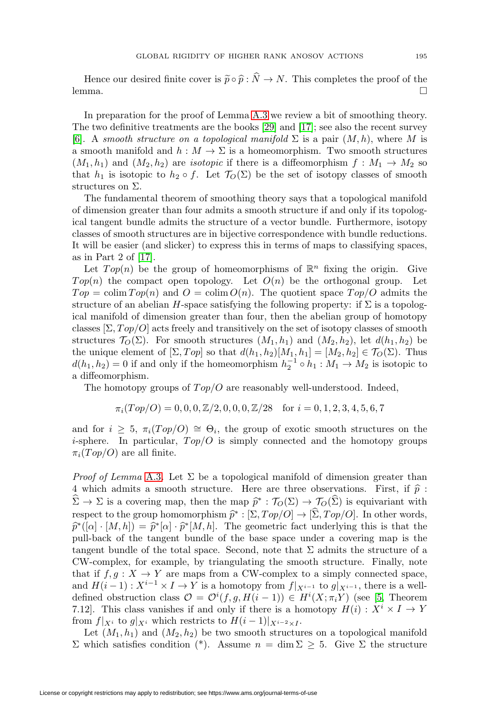Hence our desired finite cover is  $\tilde{p} \circ \hat{p} : \tilde{N} \to N$ . This completes the proof of the lemma. lemma.  $\Box$ 

In preparation for the proof of Lemma [A.3](#page-26-1) we review a bit of smoothing theory. The two definitive treatments are the books [\[29\]](#page-30-23) and [\[17\]](#page-30-24); see also the recent survey [\[6\]](#page-29-12). A smooth structure on a topological manifold  $\Sigma$  is a pair  $(M,h)$ , where M is a smooth manifold and  $h : M \to \Sigma$  is a homeomorphism. Two smooth structures  $(M_1, h_1)$  and  $(M_2, h_2)$  are *isotopic* if there is a diffeomorphism  $f : M_1 \rightarrow M_2$  so that  $h_1$  is isotopic to  $h_2 \circ f$ . Let  $\mathcal{T}_O(\Sigma)$  be the set of isotopy classes of smooth structures on Σ.

The fundamental theorem of smoothing theory says that a topological manifold of dimension greater than four admits a smooth structure if and only if its topological tangent bundle admits the structure of a vector bundle. Furthermore, isotopy classes of smooth structures are in bijective correspondence with bundle reductions. It will be easier (and slicker) to express this in terms of maps to classifying spaces, as in Part 2 of [\[17\]](#page-30-24).

Let  $Top(n)$  be the group of homeomorphisms of  $\mathbb{R}^n$  fixing the origin. Give  $Top(n)$  the compact open topology. Let  $O(n)$  be the orthogonal group. Let  $Top = \text{colim} Top(n)$  and  $O = \text{colim} O(n)$ . The quotient space  $Top/O$  admits the structure of an abelian H-space satisfying the following property: if  $\Sigma$  is a topological manifold of dimension greater than four, then the abelian group of homotopy classes  $[\Sigma, Top/O]$  acts freely and transitively on the set of isotopy classes of smooth structures  $\mathcal{T}_O(\Sigma)$ . For smooth structures  $(M_1, h_1)$  and  $(M_2, h_2)$ , let  $d(h_1, h_2)$  be the unique element of  $[\Sigma, Top]$  so that  $d(h_1, h_2)[M_1, h_1]=[M_2, h_2] \in \mathcal{T}_O(\Sigma)$ . Thus  $d(h_1, h_2) = 0$  if and only if the homeomorphism  $h_2^{-1} \circ h_1 : M_1 \to M_2$  is isotopic to a diffeomorphism.

The homotopy groups of  $Top/O$  are reasonably well-understood. Indeed,

$$
\pi_i(Top/O) = 0, 0, 0, \mathbb{Z}/2, 0, 0, 0, \mathbb{Z}/28 \quad \text{for } i = 0, 1, 2, 3, 4, 5, 6, 7
$$

and for  $i > 5$ ,  $\pi_i(T \circ p/O) \cong \Theta_i$ , the group of exotic smooth structures on the *i*-sphere. In particular,  $Top/O$  is simply connected and the homotopy groups  $\pi_i(T \circ p/O)$  are all finite.

*Proof of Lemma* [A.3](#page-26-1). Let  $\Sigma$  be a topological manifold of dimension greater than 4 which admits a smooth structure. Here are three observations. First, if  $\hat{p}$ :  $\widehat{\Sigma} \to \Sigma$  is a covering map, then the map  $\widehat{p}^* : \mathcal{T}_O(\Sigma) \to \mathcal{T}_O(\widehat{\Sigma})$  is equivariant with respect to the group homomorphism  $\hat{p}^* : [\Sigma, Top/O] \to [\Sigma, Top/O]$ . In other words,  $\hat{p}^*([\alpha] \cdot [M,h]) = \hat{p}^*[\alpha] \cdot \hat{p}^*[M,h].$  The geometric fact underlying this is that the pull-back of the tangent bundle of the base space under a covering map is the tangent bundle of the total space. Second, note that  $\Sigma$  admits the structure of a CW-complex, for example, by triangulating the smooth structure. Finally, note that if  $f, g: X \to Y$  are maps from a CW-complex to a simply connected space, and  $H(i-1): X^{i-1} \times I \to Y$  is a homotopy from  $f|_{X^{i-1}}$  to  $g|_{X^{i-1}}$ , there is a welldefined obstruction class  $\mathcal{O} = \mathcal{O}^i(f, g, H(i-1)) \in H^i(X; \pi_i Y)$  (see [\[5,](#page-29-11) Theorem 7.12. This class vanishes if and only if there is a homotopy  $H(i): X^i \times I \to Y$ from  $f|_{X^i}$  to  $g|_{X^i}$  which restricts to  $H(i-1)|_{X^{i-2}\times I}$ .

Let  $(M_1, h_1)$  and  $(M_2, h_2)$  be two smooth structures on a topological manifold  $Σ$  which satisfies condition (\*). Assume  $n = \dim Σ ≥ 5$ . Give Σ the structure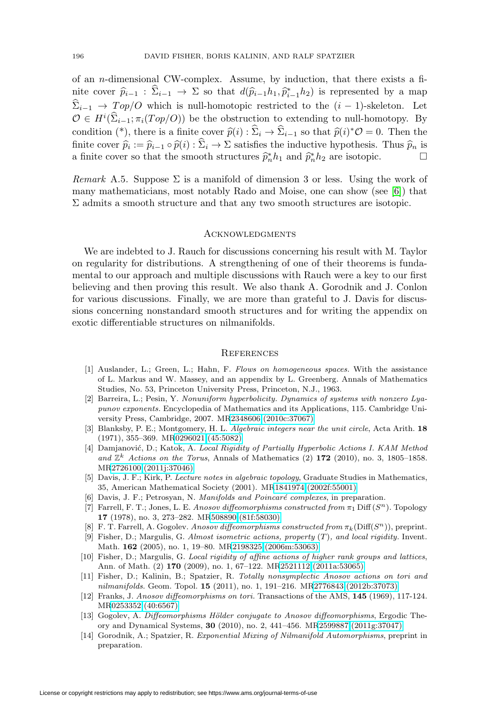of an n-dimensional CW-complex. Assume, by induction, that there exists a finite cover  $\hat{p}_{i-1}$ :  $\hat{\Sigma}_{i-1} \to \Sigma$  so that  $d(\hat{p}_{i-1}h_1, \hat{p}_{i-1}^*h_2)$  is represented by a map  $\sum_{i=1}$  →  $Top/O$  which is null-homotopic restricted to the  $(i-1)$ -skeleton. Let  $\mathcal{O} \in H^i(\hat{\Sigma}_{i-1}; \pi_i(T \circ p/O))$  be the obstruction to extending to null-homotopy. By condition (\*), there is a finite cover  $\hat{p}(i): \hat{\Sigma}_i \to \hat{\Sigma}_{i-1}$  so that  $\hat{p}(i)^* \mathcal{O} = 0$ . Then the finite cover  $\hat{p}_i := \hat{p}_{i-1} \circ \hat{p}(i) : \hat{\Sigma}_i \to \Sigma$  satisfies the inductive hypothesis. Thus  $\hat{p}_n$  is a finite cover so that the smooth structures  $\hat{p}_n^* h_1$  and  $\hat{p}_n^* h_2$  are isotopic.  $\Box$ 

<span id="page-29-10"></span>Remark A.5. Suppose  $\Sigma$  is a manifold of dimension 3 or less. Using the work of many mathematicians, most notably Rado and Moise, one can show (see [\[6\]](#page-29-12)) that  $\Sigma$  admits a smooth structure and that any two smooth structures are isotopic.

#### Acknowledgments

We are indebted to J. Rauch for discussions concerning his result with M. Taylor on regularity for distributions. A strengthening of one of their theorems is fundamental to our approach and multiple discussions with Rauch were a key to our first believing and then proving this result. We also thank A. Gorodnik and J. Conlon for various discussions. Finally, we are more than grateful to J. Davis for discussions concerning nonstandard smooth structures and for writing the appendix on exotic differentiable structures on nilmanifolds.

#### **REFERENCES**

- [1] Auslander, L.; Green, L.; Hahn, F. Flows on homogeneous spaces. With the assistance of L. Markus and W. Massey, and an appendix by L. Greenberg. Annals of Mathematics Studies, No. 53, Princeton University Press, Princeton, N.J., 1963.
- <span id="page-29-5"></span>[2] Barreira, L.; Pesin, Y. Nonuniform hyperbolicity. Dynamics of systems with nonzero Lyapunov exponents. Encyclopedia of Mathematics and its Applications, 115. Cambridge University Press, Cambridge, 2007. M[R2348606 \(2010c:37067\)](http://www.ams.org/mathscinet-getitem?mr=2348606)
- <span id="page-29-9"></span>[3] Blanksby, P. E.; Montgomery, H. L. Algebraic integers near the unit circle, Acta Arith. **18** (1971), 355–369. M[R0296021 \(45:5082\)](http://www.ams.org/mathscinet-getitem?mr=0296021)
- <span id="page-29-8"></span>[4] Damjanović, D.; Katok, A. Local Rigidity of Partially Hyperbolic Actions I. KAM Method and  $\mathbb{Z}^k$  Actions on the Torus, Annals of Mathematics (2) 172 (2010), no. 3, 1805–1858. M[R2726100 \(2011j:37046\)](http://www.ams.org/mathscinet-getitem?mr=2726100)
- <span id="page-29-11"></span>[5] Davis, J. F.; Kirk, P. Lecture notes in algebraic topology, Graduate Studies in Mathematics, 35, American Mathematical Society (2001). M[R1841974 \(2002f:55001\)](http://www.ams.org/mathscinet-getitem?mr=1841974)
- <span id="page-29-12"></span><span id="page-29-3"></span>[6] Davis, J. F.; Petrosyan, N. Manifolds and Poincaré complexes, in preparation.
- [7] Farrell, F. T.; Jones, L. E. Anosov diffeomorphisms constructed from  $\pi_1$  Diff  $(S^n)$ . Topology **17** (1978), no. 3, 273–282. M[R508890 \(81f:58030\)](http://www.ams.org/mathscinet-getitem?mr=508890)
- <span id="page-29-7"></span><span id="page-29-4"></span>[8] F. T. Farrell, A. Gogolev. Anosov diffeomorphisms constructed from  $\pi_k(Diff(S^n))$ , preprint.
- [9] Fisher, D.; Margulis, G. Almost isometric actions, property  $(T)$ , and local rigidity. Invent. Math. **162** (2005), no. 1, 19–80. M[R2198325 \(2006m:53063\)](http://www.ams.org/mathscinet-getitem?mr=2198325)
- [10] Fisher, D.; Margulis, G. Local rigidity of affine actions of higher rank groups and lattices, Ann. of Math. (2) **170** (2009), no. 1, 67–122. M[R2521112 \(2011a:53065\)](http://www.ams.org/mathscinet-getitem?mr=2521112)
- <span id="page-29-0"></span>[11] Fisher, D.; Kalinin, B.; Spatzier, R. Totally nonsymplectic Anosov actions on tori and nilmanifolds. Geom. Topol. **15** (2011), no. 1, 191–216. M[R2776843 \(2012b:37073\)](http://www.ams.org/mathscinet-getitem?mr=2776843)
- <span id="page-29-6"></span>[12] Franks, J. Anosov diffeomorphisms on tori. Transactions of the AMS, **145** (1969), 117-124. M[R0253352 \(40:6567\)](http://www.ams.org/mathscinet-getitem?mr=0253352)
- <span id="page-29-2"></span>[13] Gogolev, A. Diffeomorphisms Hölder conjugate to Anosov diffeomorphisms, Ergodic Theory and Dynamical Systems, **30** (2010), no. 2, 441–456. M[R2599887 \(2011g:37047\)](http://www.ams.org/mathscinet-getitem?mr=2599887)
- <span id="page-29-1"></span>[14] Gorodnik, A.; Spatzier, R. Exponential Mixing of Nilmanifold Automorphisms, preprint in preparation.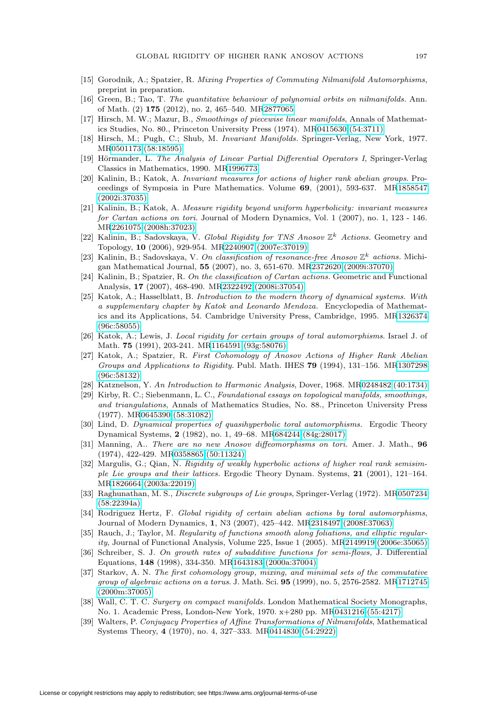- <span id="page-30-16"></span><span id="page-30-4"></span>[15] Gorodnik, A.; Spatzier, R. Mixing Properties of Commuting Nilmanifold Automorphisms, preprint in preparation.
- [16] Green, B.; Tao, T. The quantitative behaviour of polynomial orbits on nilmanifolds. Ann. of Math. (2) **175** (2012), no. 2, 465–540. M[R2877065](http://www.ams.org/mathscinet-getitem?mr=2877065)
- <span id="page-30-24"></span>[17] Hirsch, M. W.; Mazur, B., Smoothings of piecewise linear manifolds, Annals of Mathematics Studies, No. 80., Princeton University Press (1974). M[R0415630 \(54:3711\)](http://www.ams.org/mathscinet-getitem?mr=0415630)
- <span id="page-30-5"></span>[18] Hirsch, M.; Pugh, C.; Shub, M. Invariant Manifolds. Springer-Verlag, New York, 1977. M[R0501173 \(58:18595\)](http://www.ams.org/mathscinet-getitem?mr=0501173)
- <span id="page-30-21"></span>[19] Hörmander, L. The Analysis of Linear Partial Differential Operators I, Springer-Verlag Classics in Mathematics, 1990. M[R1996773](http://www.ams.org/mathscinet-getitem?mr=1996773)
- <span id="page-30-7"></span>[20] Kalinin, B.; Katok, A. Invariant measures for actions of higher rank abelian groups. Proceedings of Symposia in Pure Mathematics. Volume **69**, (2001), 593-637. M[R1858547](http://www.ams.org/mathscinet-getitem?mr=1858547) [\(2002i:37035\)](http://www.ams.org/mathscinet-getitem?mr=1858547)
- <span id="page-30-13"></span>[21] Kalinin, B.; Katok, A. Measure rigidity beyond uniform hyperbolicity: invariant measures for Cartan actions on tori. Journal of Modern Dynamics, Vol. 1 (2007), no. 1, 123 - 146. M[R2261075 \(2008h:37023\)](http://www.ams.org/mathscinet-getitem?mr=2261075)
- <span id="page-30-6"></span>[22] Kalinin, B.; Sadovskaya, V. Global Rigidity for TNS Anosov  $\mathbb{Z}^k$  Actions. Geometry and Topology, **10** (2006), 929-954. M[R2240907 \(2007e:37019\)](http://www.ams.org/mathscinet-getitem?mr=2240907)
- <span id="page-30-9"></span>[23] Kalinin, B.; Sadovskaya, V. On classification of resonance-free Anosov  $\mathbb{Z}^k$  actions. Michigan Mathematical Journal, **55** (2007), no. 3, 651-670. M[R2372620 \(2009i:37070\)](http://www.ams.org/mathscinet-getitem?mr=2372620)
- <span id="page-30-8"></span>[24] Kalinin, B.; Spatzier, R. On the classification of Cartan actions. Geometric and Functional Analysis, **17** (2007), 468-490. M[R2322492 \(2008i:37054\)](http://www.ams.org/mathscinet-getitem?mr=2322492)
- <span id="page-30-10"></span>[25] Katok, A.; Hasselblatt, B. Introduction to the modern theory of dynamical systems. With a supplementary chapter by Katok and Leonardo Mendoza. Encyclopedia of Mathematics and its Applications, 54. Cambridge University Press, Cambridge, 1995. M[R1326374](http://www.ams.org/mathscinet-getitem?mr=1326374) [\(96c:58055\)](http://www.ams.org/mathscinet-getitem?mr=1326374)
- <span id="page-30-19"></span>[26] Katok, A.; Lewis, J. Local rigidity for certain groups of toral automorphisms. Israel J. of Math. **75** (1991), 203-241. M[R1164591 \(93g:58076\)](http://www.ams.org/mathscinet-getitem?mr=1164591)
- <span id="page-30-3"></span>[27] Katok, A.; Spatzier, R. First Cohomology of Anosov Actions of Higher Rank Abelian Groups and Applications to Rigidity. Publ. Math. IHES **79** (1994), 131–156. M[R1307298](http://www.ams.org/mathscinet-getitem?mr=1307298) [\(96c:58132\)](http://www.ams.org/mathscinet-getitem?mr=1307298)
- <span id="page-30-23"></span><span id="page-30-17"></span>[28] Katznelson, Y. An Introduction to Harmonic Analysis, Dover, 1968. M[R0248482 \(40:1734\)](http://www.ams.org/mathscinet-getitem?mr=0248482)
- [29] Kirby, R. C.; Siebenmann, L. C., Foundational essays on topological manifolds, smoothings, and triangulations, Annals of Mathematics Studies, No. 88., Princeton University Press (1977). M[R0645390 \(58:31082\)](http://www.ams.org/mathscinet-getitem?mr=0645390)
- <span id="page-30-15"></span>[30] Lind, D. Dynamical properties of quasihyperbolic toral automorphisms. Ergodic Theory Dynamical Systems, **2** (1982), no. 1, 49–68. M[R684244 \(84g:28017\)](http://www.ams.org/mathscinet-getitem?mr=684244)
- <span id="page-30-11"></span>[31] Manning, A.. There are no new Anosov diffeomorphisms on tori. Amer. J. Math., **96** (1974), 422-429. M[R0358865 \(50:11324\)](http://www.ams.org/mathscinet-getitem?mr=0358865)
- <span id="page-30-2"></span>[32] Margulis, G.; Qian, N. Rigidity of weakly hyperbolic actions of higher real rank semisimple Lie groups and their lattices. Ergodic Theory Dynam. Systems, **21** (2001), 121–164. M[R1826664 \(2003a:22019\)](http://www.ams.org/mathscinet-getitem?mr=1826664)
- <span id="page-30-22"></span>[33] Raghunathan, M. S., Discrete subgroups of Lie groups, Springer-Verlag (1972). M[R0507234](http://www.ams.org/mathscinet-getitem?mr=0507234) [\(58:22394a\)](http://www.ams.org/mathscinet-getitem?mr=0507234)
- <span id="page-30-1"></span>[34] Rodriguez Hertz, F. Global rigidity of certain abelian actions by toral automorphisms, Journal of Modern Dynamics, **1**, N3 (2007), 425–442. M[R2318497 \(2008f:37063\)](http://www.ams.org/mathscinet-getitem?mr=2318497)
- <span id="page-30-20"></span>[35] Rauch, J.; Taylor, M. Regularity of functions smooth along foliations, and elliptic regularity, Journal of Functional Analysis, Volume 225, Issue 1 (2005). M[R2149919 \(2006e:35065\)](http://www.ams.org/mathscinet-getitem?mr=2149919)
- <span id="page-30-14"></span>[36] Schreiber, S. J. On growth rates of subadditive functions for semi-flows, J. Differential Equations, **148** (1998), 334-350. M[R1643183 \(2000a:37004\)](http://www.ams.org/mathscinet-getitem?mr=1643183)
- <span id="page-30-0"></span>[37] Starkov, A. N. The first cohomology group, mixing, and minimal sets of the commutative group of algebraic actions on a torus. J. Math. Sci. **95** (1999), no. 5, 2576-2582. M[R1712745](http://www.ams.org/mathscinet-getitem?mr=1712745) [\(2000m:37005\)](http://www.ams.org/mathscinet-getitem?mr=1712745)
- <span id="page-30-18"></span>[38] Wall, C. T. C. Surgery on compact manifolds. London Mathematical Society Monographs, No. 1. Academic Press, London-New York, 1970. x+280 pp. M[R0431216 \(55:4217\)](http://www.ams.org/mathscinet-getitem?mr=0431216)
- <span id="page-30-12"></span>[39] Walters, P. Conjugacy Properties of Affine Transformations of Nilmanifolds, Mathematical Systems Theory, **4** (1970), no. 4, 327–333. M[R0414830 \(54:2922\)](http://www.ams.org/mathscinet-getitem?mr=0414830)